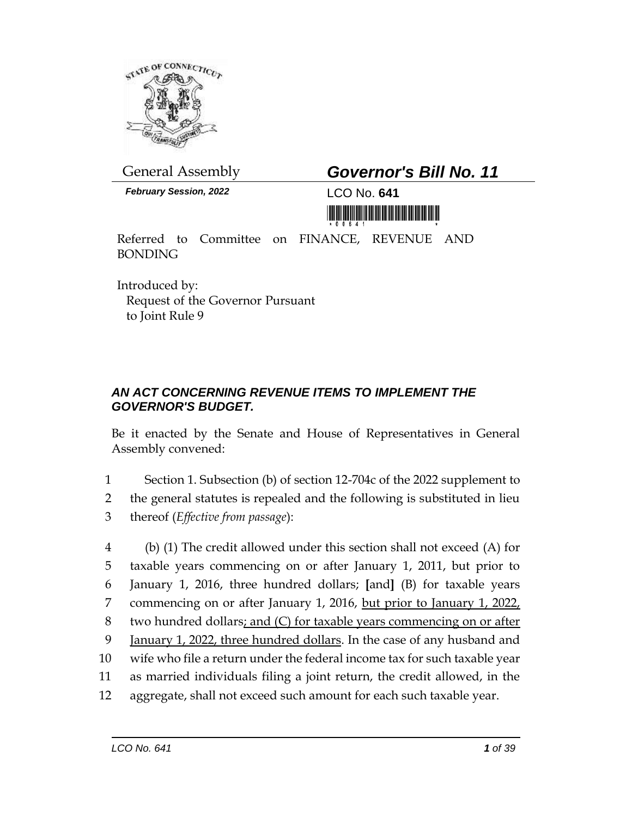

# General Assembly *Governor's Bill No. 11*

*February Session, 2022* LCO No. **641**



Referred to Committee on FINANCE, REVENUE AND BONDING

Introduced by: Request of the Governor Pursuant to Joint Rule 9

## *AN ACT CONCERNING REVENUE ITEMS TO IMPLEMENT THE GOVERNOR'S BUDGET.*

Be it enacted by the Senate and House of Representatives in General Assembly convened:

1 Section 1. Subsection (b) of section 12-704c of the 2022 supplement to 2 the general statutes is repealed and the following is substituted in lieu 3 thereof (*Effective from passage*):

 (b) (1) The credit allowed under this section shall not exceed (A) for taxable years commencing on or after January 1, 2011, but prior to January 1, 2016, three hundred dollars; **[**and**]** (B) for taxable years 7 commencing on or after January 1, 2016, but prior to January 1, 2022, two hundred dollars; and (C) for taxable years commencing on or after January 1, 2022, three hundred dollars. In the case of any husband and wife who file a return under the federal income tax for such taxable year as married individuals filing a joint return, the credit allowed, in the aggregate, shall not exceed such amount for each such taxable year.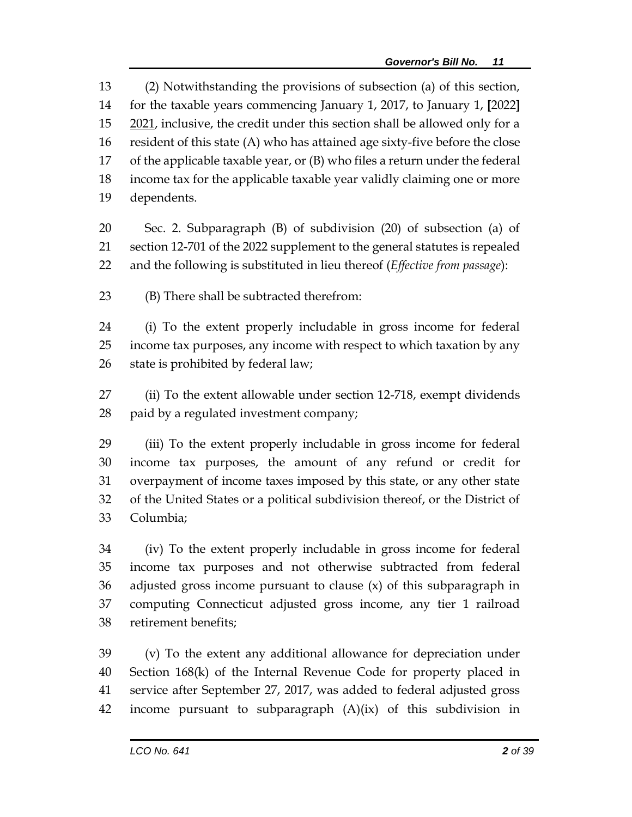(2) Notwithstanding the provisions of subsection (a) of this section, for the taxable years commencing January 1, 2017, to January 1, **[**2022**]** 2021, inclusive, the credit under this section shall be allowed only for a resident of this state (A) who has attained age sixty-five before the close of the applicable taxable year, or (B) who files a return under the federal income tax for the applicable taxable year validly claiming one or more dependents.

 Sec. 2. Subparagraph (B) of subdivision (20) of subsection (a) of section 12-701 of the 2022 supplement to the general statutes is repealed and the following is substituted in lieu thereof (*Effective from passage*):

(B) There shall be subtracted therefrom:

 (i) To the extent properly includable in gross income for federal income tax purposes, any income with respect to which taxation by any state is prohibited by federal law;

 (ii) To the extent allowable under section 12-718, exempt dividends paid by a regulated investment company;

 (iii) To the extent properly includable in gross income for federal income tax purposes, the amount of any refund or credit for overpayment of income taxes imposed by this state, or any other state of the United States or a political subdivision thereof, or the District of Columbia;

 (iv) To the extent properly includable in gross income for federal income tax purposes and not otherwise subtracted from federal adjusted gross income pursuant to clause (x) of this subparagraph in computing Connecticut adjusted gross income, any tier 1 railroad retirement benefits;

 (v) To the extent any additional allowance for depreciation under Section 168(k) of the Internal Revenue Code for property placed in service after September 27, 2017, was added to federal adjusted gross income pursuant to subparagraph (A)(ix) of this subdivision in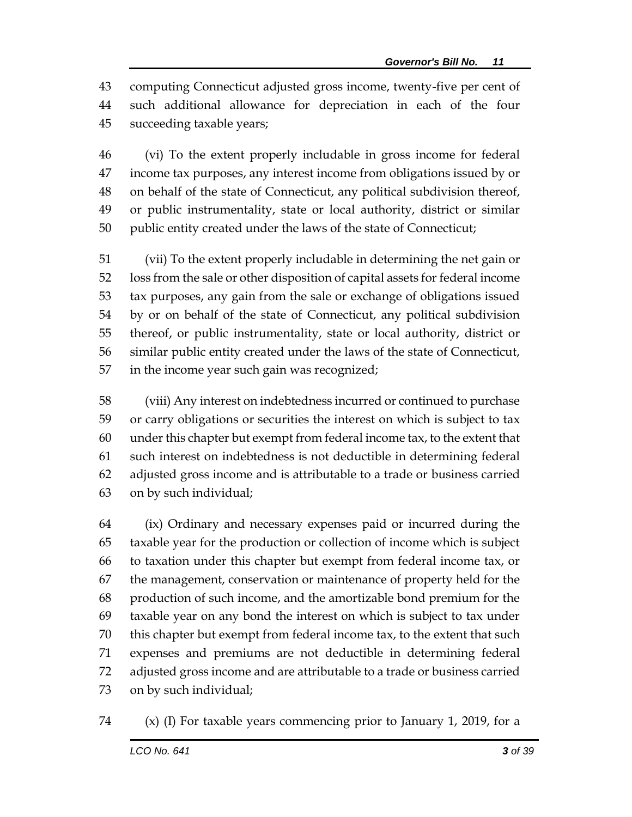computing Connecticut adjusted gross income, twenty-five per cent of such additional allowance for depreciation in each of the four succeeding taxable years;

 (vi) To the extent properly includable in gross income for federal income tax purposes, any interest income from obligations issued by or on behalf of the state of Connecticut, any political subdivision thereof, or public instrumentality, state or local authority, district or similar public entity created under the laws of the state of Connecticut;

 (vii) To the extent properly includable in determining the net gain or loss from the sale or other disposition of capital assets for federal income tax purposes, any gain from the sale or exchange of obligations issued by or on behalf of the state of Connecticut, any political subdivision thereof, or public instrumentality, state or local authority, district or similar public entity created under the laws of the state of Connecticut, in the income year such gain was recognized;

 (viii) Any interest on indebtedness incurred or continued to purchase or carry obligations or securities the interest on which is subject to tax under this chapter but exempt from federal income tax, to the extent that such interest on indebtedness is not deductible in determining federal adjusted gross income and is attributable to a trade or business carried on by such individual;

 (ix) Ordinary and necessary expenses paid or incurred during the taxable year for the production or collection of income which is subject to taxation under this chapter but exempt from federal income tax, or the management, conservation or maintenance of property held for the production of such income, and the amortizable bond premium for the taxable year on any bond the interest on which is subject to tax under this chapter but exempt from federal income tax, to the extent that such expenses and premiums are not deductible in determining federal adjusted gross income and are attributable to a trade or business carried on by such individual;

(x) (I) For taxable years commencing prior to January 1, 2019, for a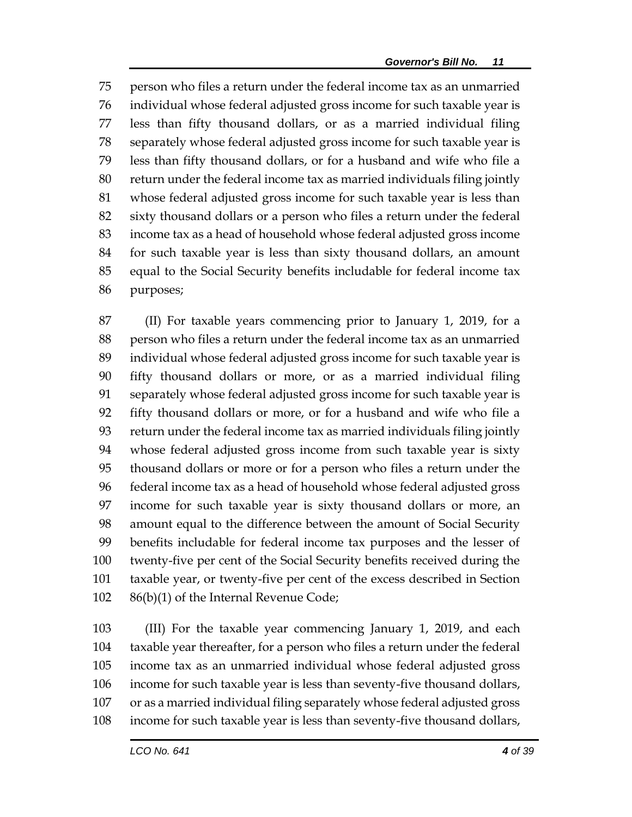person who files a return under the federal income tax as an unmarried individual whose federal adjusted gross income for such taxable year is less than fifty thousand dollars, or as a married individual filing separately whose federal adjusted gross income for such taxable year is less than fifty thousand dollars, or for a husband and wife who file a return under the federal income tax as married individuals filing jointly whose federal adjusted gross income for such taxable year is less than sixty thousand dollars or a person who files a return under the federal income tax as a head of household whose federal adjusted gross income for such taxable year is less than sixty thousand dollars, an amount equal to the Social Security benefits includable for federal income tax purposes;

 (II) For taxable years commencing prior to January 1, 2019, for a person who files a return under the federal income tax as an unmarried individual whose federal adjusted gross income for such taxable year is fifty thousand dollars or more, or as a married individual filing separately whose federal adjusted gross income for such taxable year is fifty thousand dollars or more, or for a husband and wife who file a return under the federal income tax as married individuals filing jointly whose federal adjusted gross income from such taxable year is sixty thousand dollars or more or for a person who files a return under the federal income tax as a head of household whose federal adjusted gross income for such taxable year is sixty thousand dollars or more, an amount equal to the difference between the amount of Social Security benefits includable for federal income tax purposes and the lesser of twenty-five per cent of the Social Security benefits received during the taxable year, or twenty-five per cent of the excess described in Section 86(b)(1) of the Internal Revenue Code;

 (III) For the taxable year commencing January 1, 2019, and each taxable year thereafter, for a person who files a return under the federal income tax as an unmarried individual whose federal adjusted gross income for such taxable year is less than seventy-five thousand dollars, or as a married individual filing separately whose federal adjusted gross income for such taxable year is less than seventy-five thousand dollars,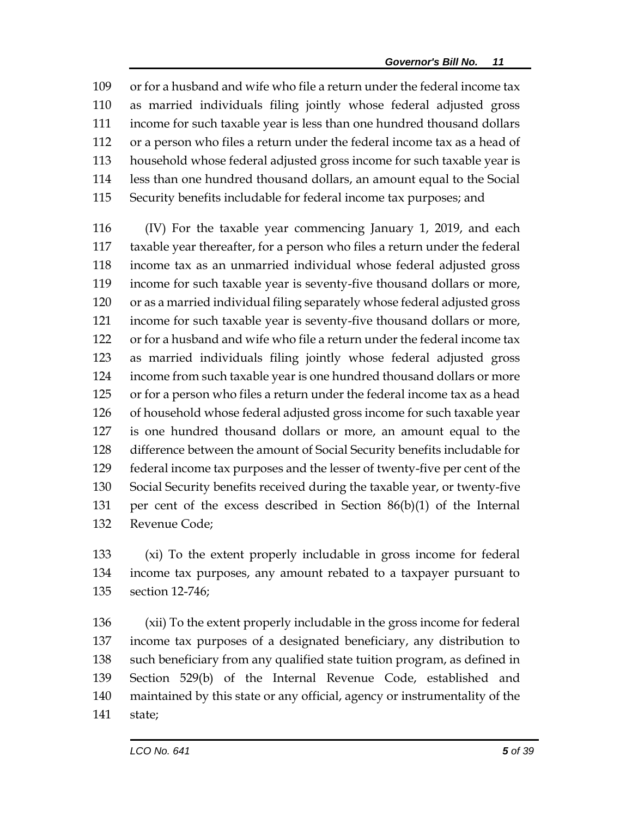or for a husband and wife who file a return under the federal income tax as married individuals filing jointly whose federal adjusted gross income for such taxable year is less than one hundred thousand dollars or a person who files a return under the federal income tax as a head of household whose federal adjusted gross income for such taxable year is less than one hundred thousand dollars, an amount equal to the Social Security benefits includable for federal income tax purposes; and

 (IV) For the taxable year commencing January 1, 2019, and each taxable year thereafter, for a person who files a return under the federal income tax as an unmarried individual whose federal adjusted gross income for such taxable year is seventy-five thousand dollars or more, or as a married individual filing separately whose federal adjusted gross income for such taxable year is seventy-five thousand dollars or more, or for a husband and wife who file a return under the federal income tax as married individuals filing jointly whose federal adjusted gross income from such taxable year is one hundred thousand dollars or more or for a person who files a return under the federal income tax as a head of household whose federal adjusted gross income for such taxable year is one hundred thousand dollars or more, an amount equal to the difference between the amount of Social Security benefits includable for federal income tax purposes and the lesser of twenty-five per cent of the Social Security benefits received during the taxable year, or twenty-five per cent of the excess described in Section 86(b)(1) of the Internal Revenue Code;

 (xi) To the extent properly includable in gross income for federal income tax purposes, any amount rebated to a taxpayer pursuant to section 12-746;

 (xii) To the extent properly includable in the gross income for federal income tax purposes of a designated beneficiary, any distribution to such beneficiary from any qualified state tuition program, as defined in Section 529(b) of the Internal Revenue Code, established and maintained by this state or any official, agency or instrumentality of the state;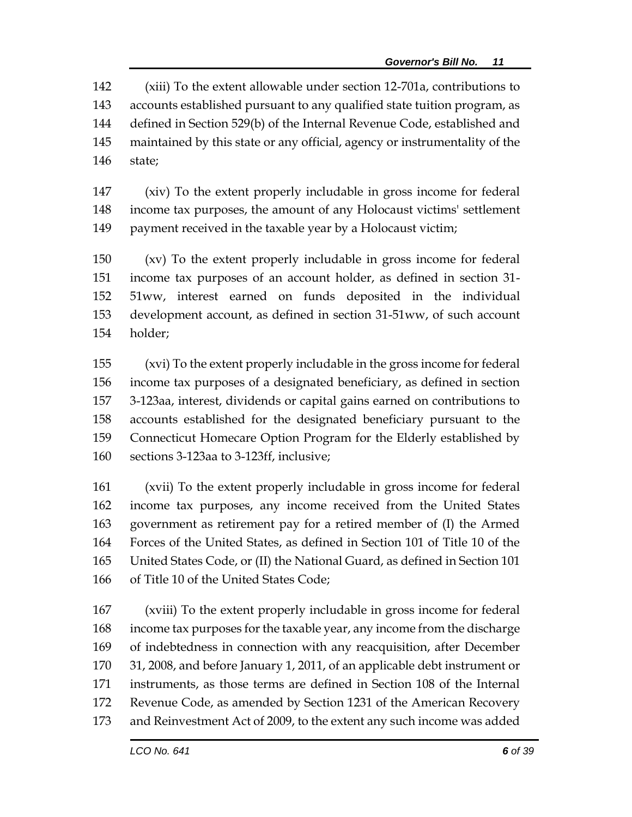(xiii) To the extent allowable under section 12-701a, contributions to accounts established pursuant to any qualified state tuition program, as defined in Section 529(b) of the Internal Revenue Code, established and maintained by this state or any official, agency or instrumentality of the state;

 (xiv) To the extent properly includable in gross income for federal income tax purposes, the amount of any Holocaust victims' settlement payment received in the taxable year by a Holocaust victim;

 (xv) To the extent properly includable in gross income for federal income tax purposes of an account holder, as defined in section 31- 51ww, interest earned on funds deposited in the individual development account, as defined in section 31-51ww, of such account holder;

 (xvi) To the extent properly includable in the gross income for federal income tax purposes of a designated beneficiary, as defined in section 3-123aa, interest, dividends or capital gains earned on contributions to accounts established for the designated beneficiary pursuant to the Connecticut Homecare Option Program for the Elderly established by sections 3-123aa to 3-123ff, inclusive;

 (xvii) To the extent properly includable in gross income for federal income tax purposes, any income received from the United States government as retirement pay for a retired member of (I) the Armed Forces of the United States, as defined in Section 101 of Title 10 of the United States Code, or (II) the National Guard, as defined in Section 101 of Title 10 of the United States Code;

 (xviii) To the extent properly includable in gross income for federal income tax purposes for the taxable year, any income from the discharge of indebtedness in connection with any reacquisition, after December 31, 2008, and before January 1, 2011, of an applicable debt instrument or instruments, as those terms are defined in Section 108 of the Internal Revenue Code, as amended by Section 1231 of the American Recovery and Reinvestment Act of 2009, to the extent any such income was added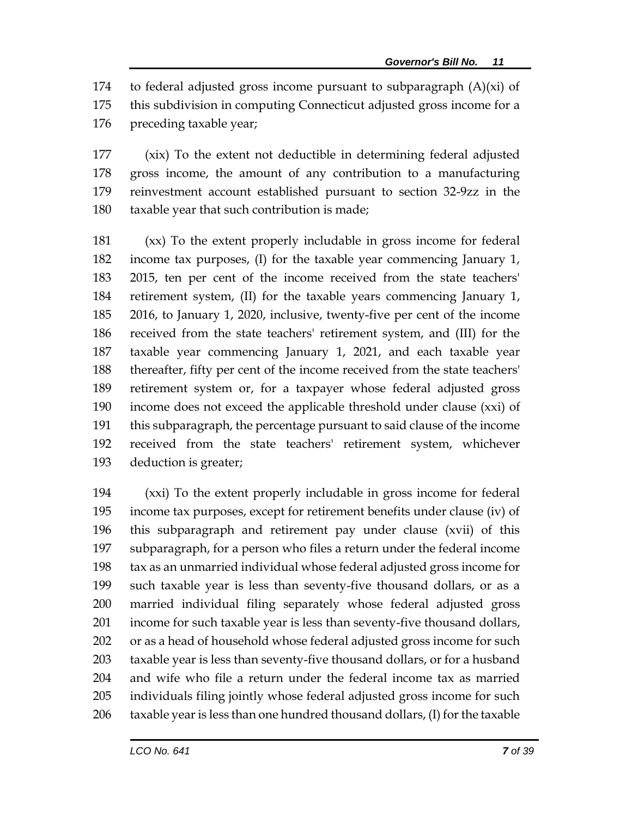174 to federal adjusted gross income pursuant to subparagraph  $(A)(xi)$  of this subdivision in computing Connecticut adjusted gross income for a preceding taxable year;

 (xix) To the extent not deductible in determining federal adjusted gross income, the amount of any contribution to a manufacturing reinvestment account established pursuant to section 32-9zz in the taxable year that such contribution is made;

 (xx) To the extent properly includable in gross income for federal income tax purposes, (I) for the taxable year commencing January 1, 2015, ten per cent of the income received from the state teachers' retirement system, (II) for the taxable years commencing January 1, 2016, to January 1, 2020, inclusive, twenty-five per cent of the income received from the state teachers' retirement system, and (III) for the taxable year commencing January 1, 2021, and each taxable year thereafter, fifty per cent of the income received from the state teachers' retirement system or, for a taxpayer whose federal adjusted gross income does not exceed the applicable threshold under clause (xxi) of this subparagraph, the percentage pursuant to said clause of the income received from the state teachers' retirement system, whichever deduction is greater;

 (xxi) To the extent properly includable in gross income for federal income tax purposes, except for retirement benefits under clause (iv) of this subparagraph and retirement pay under clause (xvii) of this subparagraph, for a person who files a return under the federal income tax as an unmarried individual whose federal adjusted gross income for such taxable year is less than seventy-five thousand dollars, or as a married individual filing separately whose federal adjusted gross income for such taxable year is less than seventy-five thousand dollars, or as a head of household whose federal adjusted gross income for such taxable year is less than seventy-five thousand dollars, or for a husband and wife who file a return under the federal income tax as married individuals filing jointly whose federal adjusted gross income for such taxable year is less than one hundred thousand dollars, (I) for the taxable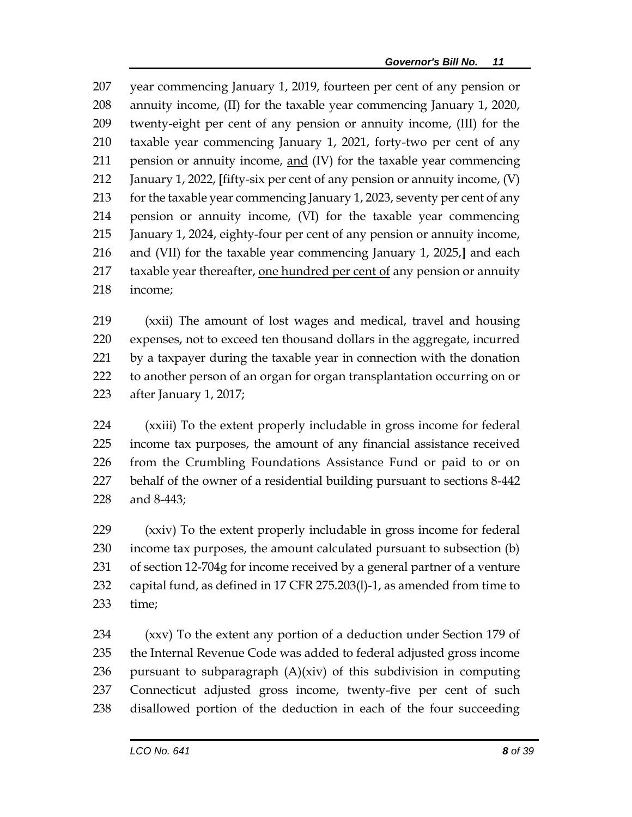year commencing January 1, 2019, fourteen per cent of any pension or annuity income, (II) for the taxable year commencing January 1, 2020, twenty-eight per cent of any pension or annuity income, (III) for the taxable year commencing January 1, 2021, forty-two per cent of any pension or annuity income, and (IV) for the taxable year commencing January 1, 2022, **[**fifty-six per cent of any pension or annuity income, (V) for the taxable year commencing January 1, 2023, seventy per cent of any pension or annuity income, (VI) for the taxable year commencing January 1, 2024, eighty-four per cent of any pension or annuity income, and (VII) for the taxable year commencing January 1, 2025,**]** and each 217 taxable year thereafter, one hundred per cent of any pension or annuity income;

 (xxii) The amount of lost wages and medical, travel and housing expenses, not to exceed ten thousand dollars in the aggregate, incurred by a taxpayer during the taxable year in connection with the donation to another person of an organ for organ transplantation occurring on or after January 1, 2017;

 (xxiii) To the extent properly includable in gross income for federal income tax purposes, the amount of any financial assistance received from the Crumbling Foundations Assistance Fund or paid to or on behalf of the owner of a residential building pursuant to sections 8-442 and 8-443;

 (xxiv) To the extent properly includable in gross income for federal income tax purposes, the amount calculated pursuant to subsection (b) of section 12-704g for income received by a general partner of a venture capital fund, as defined in 17 CFR 275.203(l)-1, as amended from time to time;

 (xxv) To the extent any portion of a deduction under Section 179 of the Internal Revenue Code was added to federal adjusted gross income 236 pursuant to subparagraph  $(A)(xiv)$  of this subdivision in computing Connecticut adjusted gross income, twenty-five per cent of such disallowed portion of the deduction in each of the four succeeding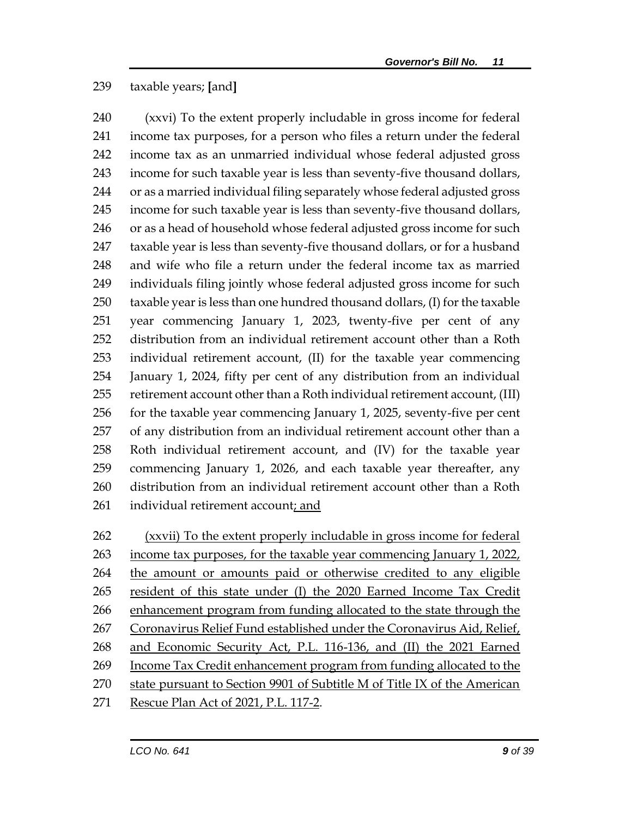#### taxable years; **[**and**]**

 (xxvi) To the extent properly includable in gross income for federal income tax purposes, for a person who files a return under the federal income tax as an unmarried individual whose federal adjusted gross income for such taxable year is less than seventy-five thousand dollars, or as a married individual filing separately whose federal adjusted gross income for such taxable year is less than seventy-five thousand dollars, 246 or as a head of household whose federal adjusted gross income for such taxable year is less than seventy-five thousand dollars, or for a husband and wife who file a return under the federal income tax as married individuals filing jointly whose federal adjusted gross income for such taxable year is less than one hundred thousand dollars, (I) for the taxable year commencing January 1, 2023, twenty-five per cent of any distribution from an individual retirement account other than a Roth individual retirement account, (II) for the taxable year commencing January 1, 2024, fifty per cent of any distribution from an individual retirement account other than a Roth individual retirement account, (III) 256 for the taxable year commencing January 1, 2025, seventy-five per cent of any distribution from an individual retirement account other than a Roth individual retirement account, and (IV) for the taxable year commencing January 1, 2026, and each taxable year thereafter, any distribution from an individual retirement account other than a Roth individual retirement account; and

 (xxvii) To the extent properly includable in gross income for federal income tax purposes, for the taxable year commencing January 1, 2022, the amount or amounts paid or otherwise credited to any eligible resident of this state under (I) the 2020 Earned Income Tax Credit enhancement program from funding allocated to the state through the 267 Coronavirus Relief Fund established under the Coronavirus Aid, Relief, and Economic Security Act, P.L. 116-136, and (II) the 2021 Earned Income Tax Credit enhancement program from funding allocated to the state pursuant to Section 9901 of Subtitle M of Title IX of the American Rescue Plan Act of 2021, P.L. 117-2.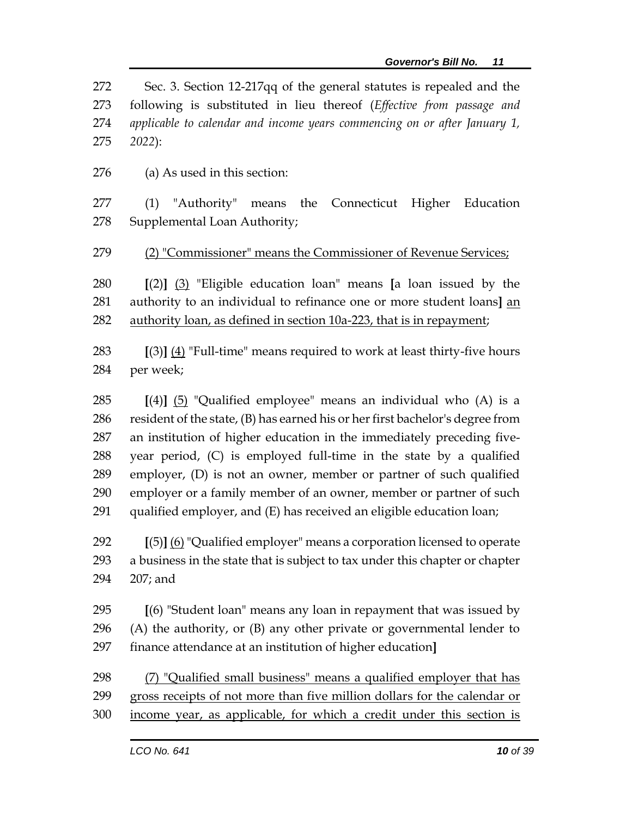Sec. 3. Section 12-217qq of the general statutes is repealed and the following is substituted in lieu thereof (*Effective from passage and applicable to calendar and income years commencing on or after January 1, 2022*):

(a) As used in this section:

 (1) "Authority" means the Connecticut Higher Education Supplemental Loan Authority;

(2) "Commissioner" means the Commissioner of Revenue Services;

 **[**(2)**]** (3) "Eligible education loan" means **[**a loan issued by the authority to an individual to refinance one or more student loans**]** an authority loan, as defined in section 10a-223, that is in repayment;

- **[**(3)**]** (4) "Full-time" means required to work at least thirty-five hours per week;
- **[**(4)**]** (5) "Qualified employee" means an individual who (A) is a resident of the state, (B) has earned his or her first bachelor's degree from an institution of higher education in the immediately preceding five- year period, (C) is employed full-time in the state by a qualified employer, (D) is not an owner, member or partner of such qualified employer or a family member of an owner, member or partner of such qualified employer, and (E) has received an eligible education loan;

 **[**(5)**]** (6) "Qualified employer" means a corporation licensed to operate a business in the state that is subject to tax under this chapter or chapter 207; and

 **[**(6) "Student loan" means any loan in repayment that was issued by (A) the authority, or (B) any other private or governmental lender to finance attendance at an institution of higher education**]**

- (7) "Qualified small business" means a qualified employer that has gross receipts of not more than five million dollars for the calendar or
- income year, as applicable, for which a credit under this section is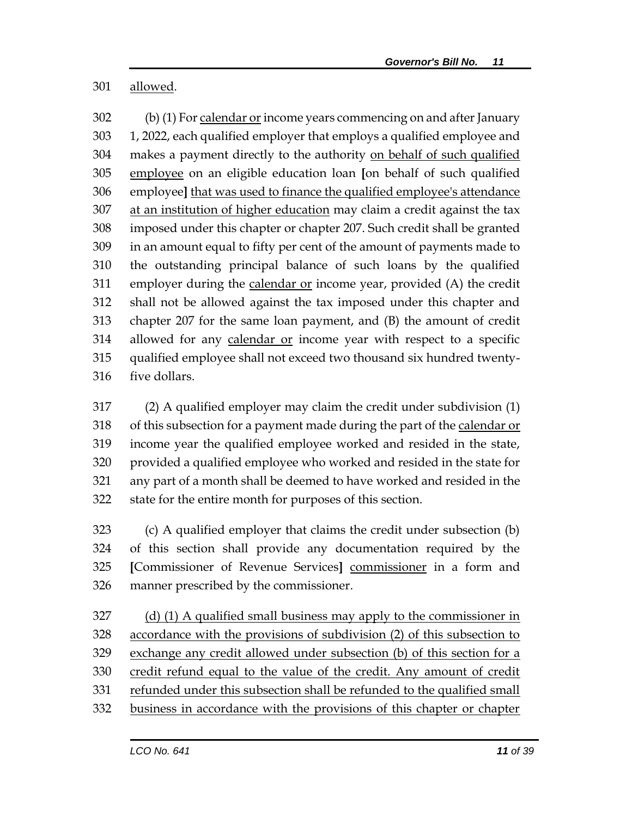allowed.

 (b) (1) For calendar or income years commencing on and after January 1, 2022, each qualified employer that employs a qualified employee and makes a payment directly to the authority on behalf of such qualified employee on an eligible education loan **[**on behalf of such qualified employee**]** that was used to finance the qualified employee's attendance 307 at an institution of higher education may claim a credit against the tax imposed under this chapter or chapter 207. Such credit shall be granted in an amount equal to fifty per cent of the amount of payments made to the outstanding principal balance of such loans by the qualified employer during the calendar or income year, provided (A) the credit shall not be allowed against the tax imposed under this chapter and chapter 207 for the same loan payment, and (B) the amount of credit allowed for any calendar or income year with respect to a specific qualified employee shall not exceed two thousand six hundred twenty-five dollars.

 (2) A qualified employer may claim the credit under subdivision (1) of this subsection for a payment made during the part of the calendar or income year the qualified employee worked and resided in the state, provided a qualified employee who worked and resided in the state for any part of a month shall be deemed to have worked and resided in the state for the entire month for purposes of this section.

 (c) A qualified employer that claims the credit under subsection (b) of this section shall provide any documentation required by the **[**Commissioner of Revenue Services**]** commissioner in a form and manner prescribed by the commissioner.

 (d) (1) A qualified small business may apply to the commissioner in accordance with the provisions of subdivision (2) of this subsection to exchange any credit allowed under subsection (b) of this section for a credit refund equal to the value of the credit. Any amount of credit refunded under this subsection shall be refunded to the qualified small business in accordance with the provisions of this chapter or chapter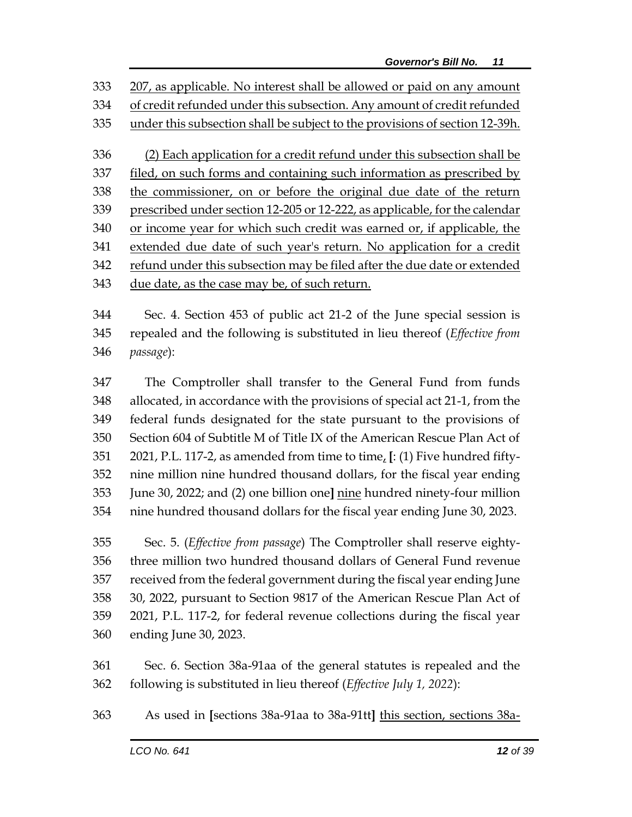207, as applicable. No interest shall be allowed or paid on any amount of credit refunded under this subsection. Any amount of credit refunded under this subsection shall be subject to the provisions of section 12-39h. (2) Each application for a credit refund under this subsection shall be filed, on such forms and containing such information as prescribed by the commissioner, on or before the original due date of the return prescribed under section 12-205 or 12-222, as applicable, for the calendar or income year for which such credit was earned or, if applicable, the extended due date of such year's return. No application for a credit refund under this subsection may be filed after the due date or extended due date, as the case may be, of such return.

 Sec. 4. Section 453 of public act 21-2 of the June special session is repealed and the following is substituted in lieu thereof (*Effective from passage*):

 The Comptroller shall transfer to the General Fund from funds allocated, in accordance with the provisions of special act 21-1, from the federal funds designated for the state pursuant to the provisions of Section 604 of Subtitle M of Title IX of the American Rescue Plan Act of 2021, P.L. 117-2, as amended from time to time, **[**: (1) Five hundred fifty- nine million nine hundred thousand dollars, for the fiscal year ending June 30, 2022; and (2) one billion one**]** nine hundred ninety-four million nine hundred thousand dollars for the fiscal year ending June 30, 2023.

 Sec. 5. (*Effective from passage*) The Comptroller shall reserve eighty- three million two hundred thousand dollars of General Fund revenue received from the federal government during the fiscal year ending June 30, 2022, pursuant to Section 9817 of the American Rescue Plan Act of 2021, P.L. 117-2, for federal revenue collections during the fiscal year ending June 30, 2023.

 Sec. 6. Section 38a-91aa of the general statutes is repealed and the following is substituted in lieu thereof (*Effective July 1, 2022*):

As used in **[**sections 38a-91aa to 38a-91tt**]** this section, sections 38a-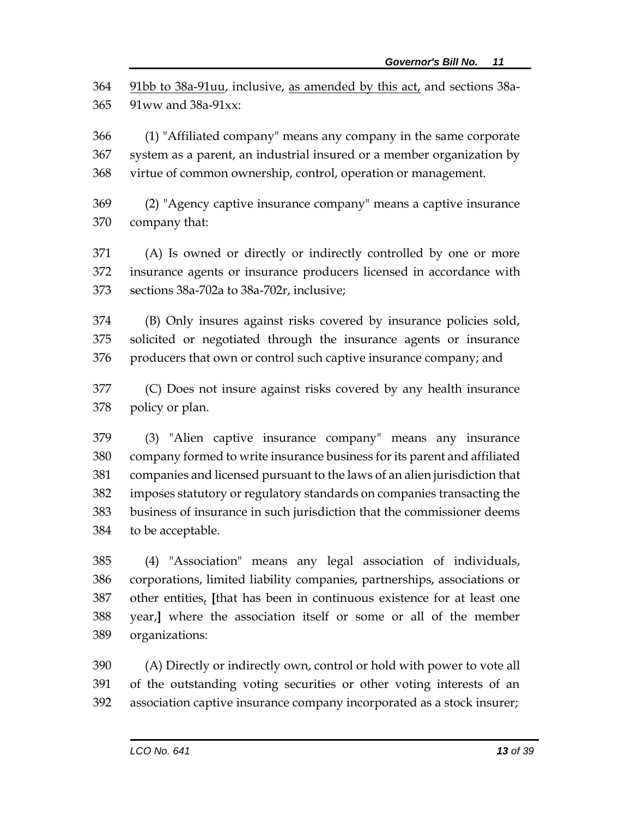91bb to 38a-91uu, inclusive, as amended by this act, and sections 38a-91ww and 38a-91xx:

 (1) "Affiliated company" means any company in the same corporate system as a parent, an industrial insured or a member organization by virtue of common ownership, control, operation or management.

 (2) "Agency captive insurance company" means a captive insurance company that:

 (A) Is owned or directly or indirectly controlled by one or more insurance agents or insurance producers licensed in accordance with sections 38a-702a to 38a-702r, inclusive;

 (B) Only insures against risks covered by insurance policies sold, solicited or negotiated through the insurance agents or insurance producers that own or control such captive insurance company; and

 (C) Does not insure against risks covered by any health insurance policy or plan.

 (3) "Alien captive insurance company" means any insurance company formed to write insurance business for its parent and affiliated companies and licensed pursuant to the laws of an alien jurisdiction that imposes statutory or regulatory standards on companies transacting the business of insurance in such jurisdiction that the commissioner deems to be acceptable.

 (4) "Association" means any legal association of individuals, corporations, limited liability companies, partnerships, associations or other entities, **[**that has been in continuous existence for at least one year,**]** where the association itself or some or all of the member organizations:

 (A) Directly or indirectly own, control or hold with power to vote all of the outstanding voting securities or other voting interests of an association captive insurance company incorporated as a stock insurer;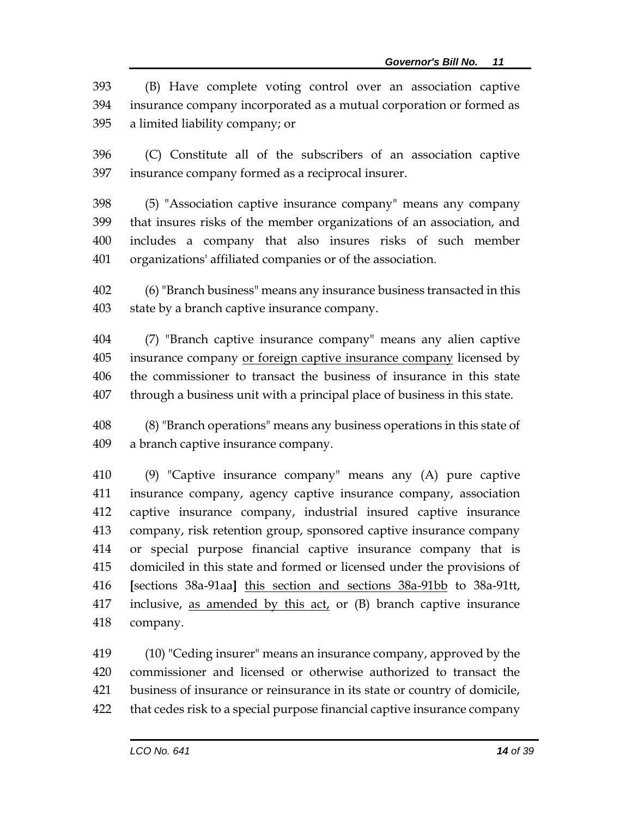| 393 | (B) Have complete voting control over an association captive            |
|-----|-------------------------------------------------------------------------|
|     | 394 insurance company incorporated as a mutual corporation or formed as |
|     | 395 a limited liability company; or                                     |

 (C) Constitute all of the subscribers of an association captive insurance company formed as a reciprocal insurer.

 (5) "Association captive insurance company" means any company that insures risks of the member organizations of an association, and includes a company that also insures risks of such member organizations' affiliated companies or of the association.

 (6) "Branch business" means any insurance business transacted in this state by a branch captive insurance company.

 (7) "Branch captive insurance company" means any alien captive insurance company or foreign captive insurance company licensed by the commissioner to transact the business of insurance in this state through a business unit with a principal place of business in this state.

 (8) "Branch operations" means any business operations in this state of a branch captive insurance company.

 (9) "Captive insurance company" means any (A) pure captive insurance company, agency captive insurance company, association captive insurance company, industrial insured captive insurance company, risk retention group, sponsored captive insurance company or special purpose financial captive insurance company that is domiciled in this state and formed or licensed under the provisions of **[**sections 38a-91aa**]** this section and sections 38a-91bb to 38a-91tt, 417 inclusive, as amended by this act, or (B) branch captive insurance company.

 (10) "Ceding insurer" means an insurance company, approved by the commissioner and licensed or otherwise authorized to transact the business of insurance or reinsurance in its state or country of domicile, that cedes risk to a special purpose financial captive insurance company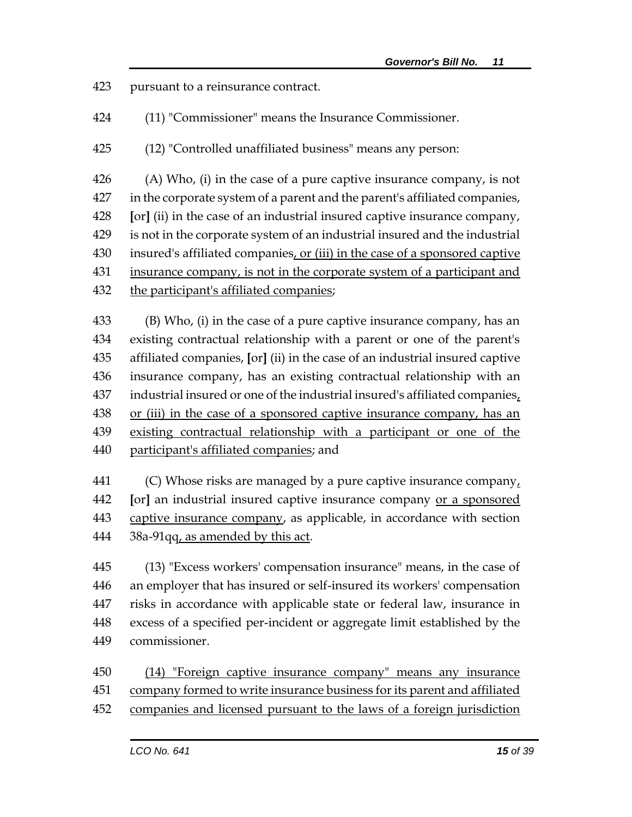pursuant to a reinsurance contract.

(11) "Commissioner" means the Insurance Commissioner.

(12) "Controlled unaffiliated business" means any person:

 (A) Who, (i) in the case of a pure captive insurance company, is not in the corporate system of a parent and the parent's affiliated companies, **[**or**]** (ii) in the case of an industrial insured captive insurance company, is not in the corporate system of an industrial insured and the industrial 430 insured's affiliated companies, or (iii) in the case of a sponsored captive 431 insurance company, is not in the corporate system of a participant and the participant's affiliated companies;

 (B) Who, (i) in the case of a pure captive insurance company, has an existing contractual relationship with a parent or one of the parent's affiliated companies, **[**or**]** (ii) in the case of an industrial insured captive insurance company, has an existing contractual relationship with an 437 industrial insured or one of the industrial insured's affiliated companies, 438 or (iii) in the case of a sponsored captive insurance company, has an existing contractual relationship with a participant or one of the participant's affiliated companies; and

 (C) Whose risks are managed by a pure captive insurance company, **[**or**]** an industrial insured captive insurance company or a sponsored 443 captive insurance company, as applicable, in accordance with section 38a-91qq, as amended by this act.

 (13) "Excess workers' compensation insurance" means, in the case of an employer that has insured or self-insured its workers' compensation risks in accordance with applicable state or federal law, insurance in excess of a specified per-incident or aggregate limit established by the commissioner.

 (14) "Foreign captive insurance company" means any insurance company formed to write insurance business for its parent and affiliated companies and licensed pursuant to the laws of a foreign jurisdiction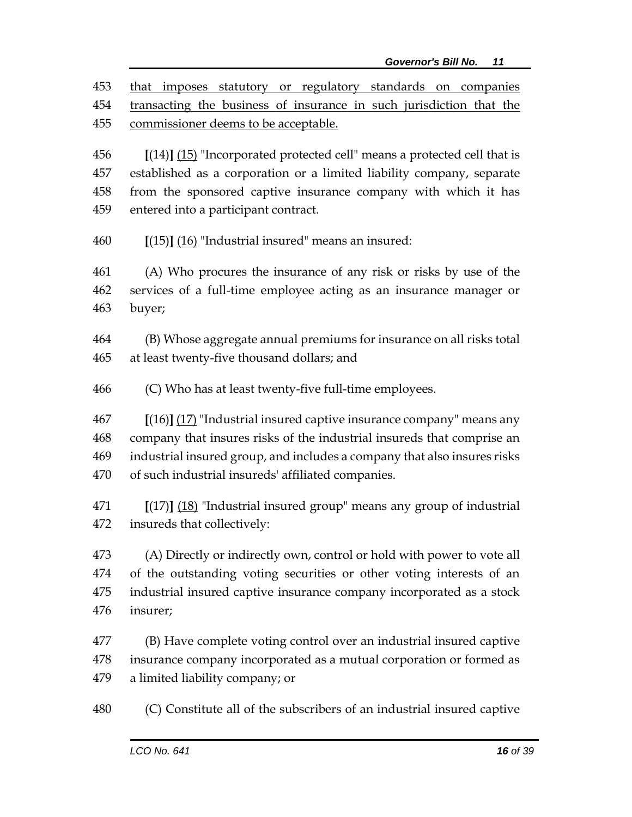that imposes statutory or regulatory standards on companies transacting the business of insurance in such jurisdiction that the commissioner deems to be acceptable.

 **[**(14)**]** (15) "Incorporated protected cell" means a protected cell that is established as a corporation or a limited liability company, separate from the sponsored captive insurance company with which it has entered into a participant contract.

**[**(15)**]** (16) "Industrial insured" means an insured:

 (A) Who procures the insurance of any risk or risks by use of the services of a full-time employee acting as an insurance manager or buyer;

 (B) Whose aggregate annual premiums for insurance on all risks total at least twenty-five thousand dollars; and

(C) Who has at least twenty-five full-time employees.

 **[**(16)**]** (17) "Industrial insured captive insurance company" means any company that insures risks of the industrial insureds that comprise an industrial insured group, and includes a company that also insures risks of such industrial insureds' affiliated companies.

 **[**(17)**]** (18) "Industrial insured group" means any group of industrial insureds that collectively:

 (A) Directly or indirectly own, control or hold with power to vote all of the outstanding voting securities or other voting interests of an industrial insured captive insurance company incorporated as a stock insurer;

 (B) Have complete voting control over an industrial insured captive insurance company incorporated as a mutual corporation or formed as a limited liability company; or

(C) Constitute all of the subscribers of an industrial insured captive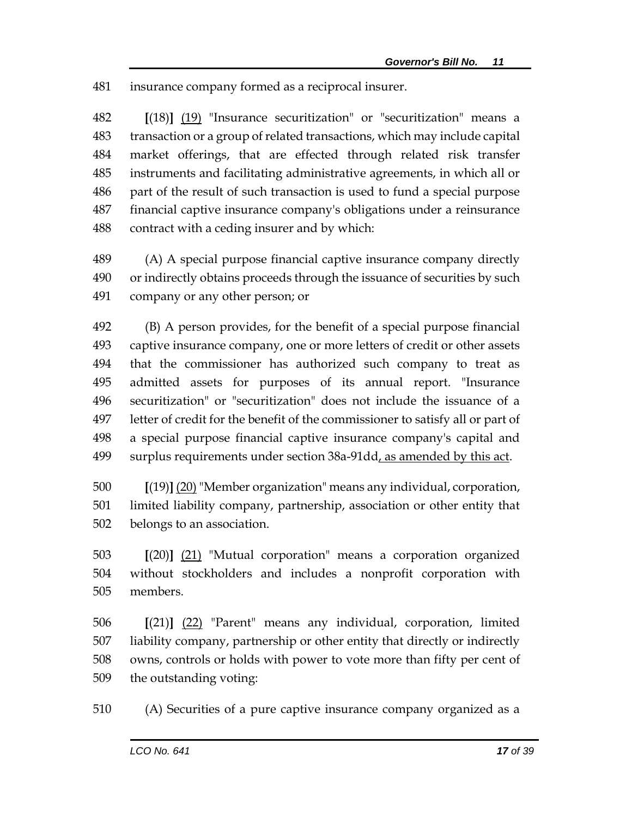insurance company formed as a reciprocal insurer.

 **[**(18)**]** (19) "Insurance securitization" or "securitization" means a transaction or a group of related transactions, which may include capital market offerings, that are effected through related risk transfer instruments and facilitating administrative agreements, in which all or part of the result of such transaction is used to fund a special purpose financial captive insurance company's obligations under a reinsurance contract with a ceding insurer and by which:

 (A) A special purpose financial captive insurance company directly or indirectly obtains proceeds through the issuance of securities by such company or any other person; or

 (B) A person provides, for the benefit of a special purpose financial captive insurance company, one or more letters of credit or other assets that the commissioner has authorized such company to treat as admitted assets for purposes of its annual report. "Insurance securitization" or "securitization" does not include the issuance of a letter of credit for the benefit of the commissioner to satisfy all or part of a special purpose financial captive insurance company's capital and surplus requirements under section 38a-91dd, as amended by this act.

 **[**(19)**]** (20) "Member organization" means any individual, corporation, limited liability company, partnership, association or other entity that belongs to an association.

 **[**(20)**]** (21) "Mutual corporation" means a corporation organized without stockholders and includes a nonprofit corporation with members.

 **[**(21)**]** (22) "Parent" means any individual, corporation, limited liability company, partnership or other entity that directly or indirectly owns, controls or holds with power to vote more than fifty per cent of the outstanding voting:

(A) Securities of a pure captive insurance company organized as a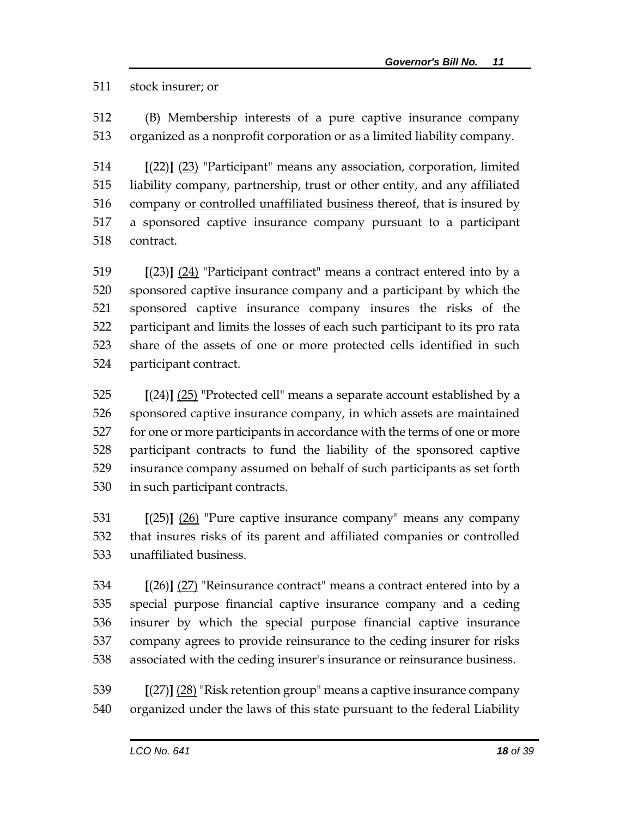#### stock insurer; or

 (B) Membership interests of a pure captive insurance company organized as a nonprofit corporation or as a limited liability company.

 **[**(22)**]** (23) "Participant" means any association, corporation, limited liability company, partnership, trust or other entity, and any affiliated company or controlled unaffiliated business thereof, that is insured by a sponsored captive insurance company pursuant to a participant contract.

 **[**(23)**]** (24) "Participant contract" means a contract entered into by a sponsored captive insurance company and a participant by which the sponsored captive insurance company insures the risks of the participant and limits the losses of each such participant to its pro rata share of the assets of one or more protected cells identified in such participant contract.

 **[**(24)**]** (25) "Protected cell" means a separate account established by a sponsored captive insurance company, in which assets are maintained for one or more participants in accordance with the terms of one or more participant contracts to fund the liability of the sponsored captive insurance company assumed on behalf of such participants as set forth in such participant contracts.

 **[**(25)**]** (26) "Pure captive insurance company" means any company that insures risks of its parent and affiliated companies or controlled unaffiliated business.

 **[**(26)**]** (27) "Reinsurance contract" means a contract entered into by a special purpose financial captive insurance company and a ceding insurer by which the special purpose financial captive insurance company agrees to provide reinsurance to the ceding insurer for risks associated with the ceding insurer's insurance or reinsurance business.

 **[**(27)**]** (28) "Risk retention group" means a captive insurance company organized under the laws of this state pursuant to the federal Liability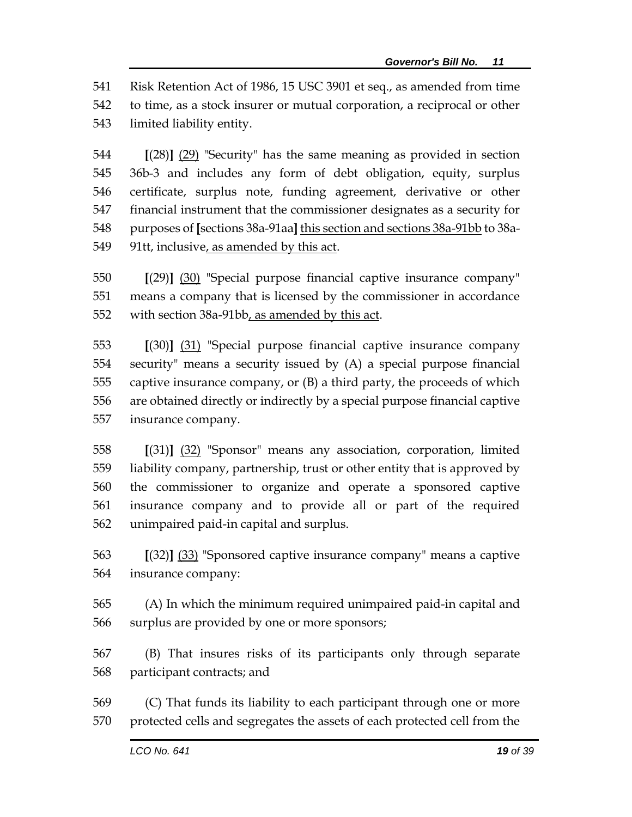Risk Retention Act of 1986, 15 USC 3901 et seq., as amended from time to time, as a stock insurer or mutual corporation, a reciprocal or other limited liability entity.

 **[**(28)**]** (29) "Security" has the same meaning as provided in section 36b-3 and includes any form of debt obligation, equity, surplus certificate, surplus note, funding agreement, derivative or other financial instrument that the commissioner designates as a security for purposes of **[**sections 38a-91aa**]** this section and sections 38a-91bb to 38a-91tt, inclusive, as amended by this act.

 **[**(29)**]** (30) "Special purpose financial captive insurance company" means a company that is licensed by the commissioner in accordance with section 38a-91bb, as amended by this act.

 **[**(30)**]** (31) "Special purpose financial captive insurance company security" means a security issued by (A) a special purpose financial captive insurance company, or (B) a third party, the proceeds of which are obtained directly or indirectly by a special purpose financial captive insurance company.

 **[**(31)**]** (32) "Sponsor" means any association, corporation, limited liability company, partnership, trust or other entity that is approved by the commissioner to organize and operate a sponsored captive insurance company and to provide all or part of the required unimpaired paid-in capital and surplus.

 **[**(32)**]** (33) "Sponsored captive insurance company" means a captive insurance company:

 (A) In which the minimum required unimpaired paid-in capital and surplus are provided by one or more sponsors;

 (B) That insures risks of its participants only through separate participant contracts; and

 (C) That funds its liability to each participant through one or more protected cells and segregates the assets of each protected cell from the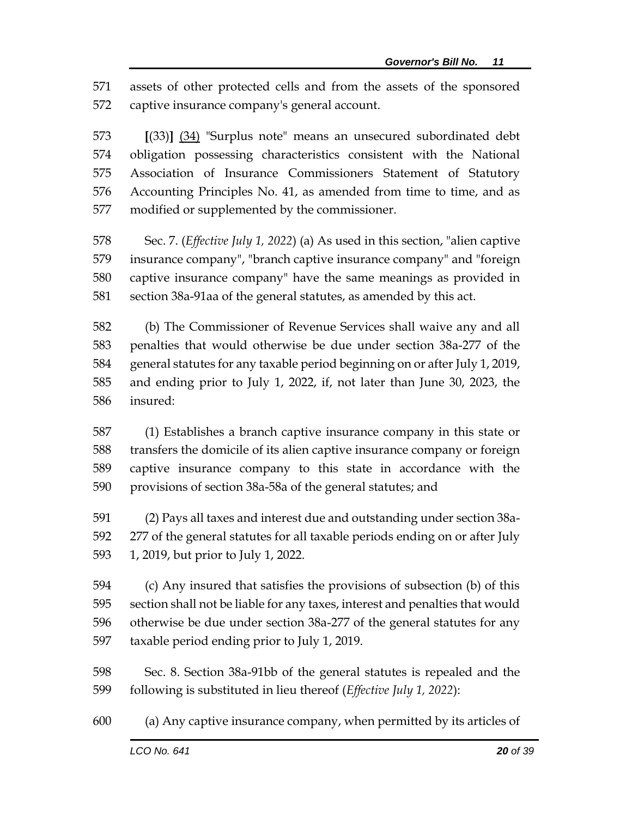assets of other protected cells and from the assets of the sponsored captive insurance company's general account.

 **[**(33)**]** (34) "Surplus note" means an unsecured subordinated debt obligation possessing characteristics consistent with the National Association of Insurance Commissioners Statement of Statutory Accounting Principles No. 41, as amended from time to time, and as modified or supplemented by the commissioner.

 Sec. 7. (*Effective July 1, 2022*) (a) As used in this section, "alien captive insurance company", "branch captive insurance company" and "foreign captive insurance company" have the same meanings as provided in section 38a-91aa of the general statutes, as amended by this act.

 (b) The Commissioner of Revenue Services shall waive any and all penalties that would otherwise be due under section 38a-277 of the general statutes for any taxable period beginning on or after July 1, 2019, and ending prior to July 1, 2022, if, not later than June 30, 2023, the insured:

 (1) Establishes a branch captive insurance company in this state or transfers the domicile of its alien captive insurance company or foreign captive insurance company to this state in accordance with the provisions of section 38a-58a of the general statutes; and

 (2) Pays all taxes and interest due and outstanding under section 38a- 277 of the general statutes for all taxable periods ending on or after July 1, 2019, but prior to July 1, 2022.

 (c) Any insured that satisfies the provisions of subsection (b) of this section shall not be liable for any taxes, interest and penalties that would otherwise be due under section 38a-277 of the general statutes for any taxable period ending prior to July 1, 2019.

 Sec. 8. Section 38a-91bb of the general statutes is repealed and the following is substituted in lieu thereof (*Effective July 1, 2022*):

(a) Any captive insurance company, when permitted by its articles of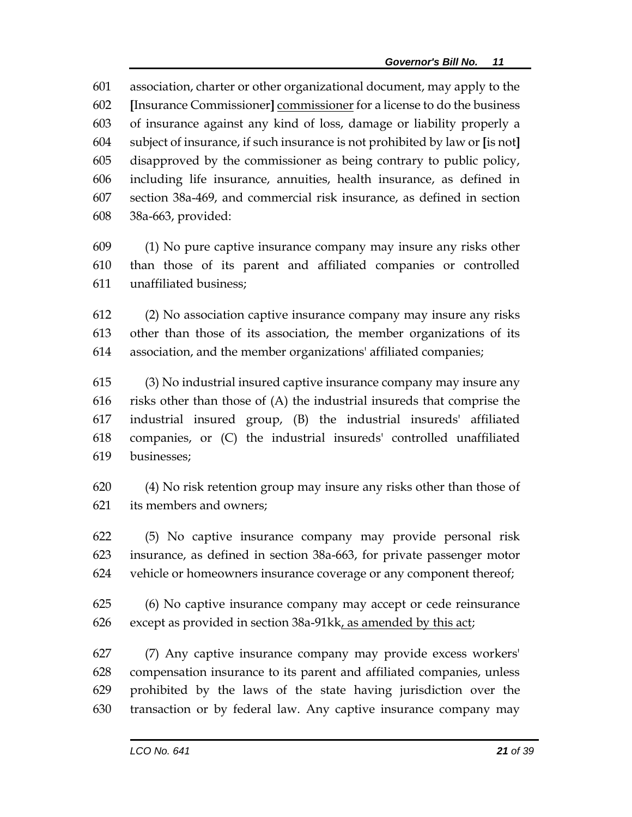association, charter or other organizational document, may apply to the **[**Insurance Commissioner**]** commissioner for a license to do the business of insurance against any kind of loss, damage or liability properly a subject of insurance, if such insurance is not prohibited by law or **[**is not**]** disapproved by the commissioner as being contrary to public policy, including life insurance, annuities, health insurance, as defined in section 38a-469, and commercial risk insurance, as defined in section 38a-663, provided:

 (1) No pure captive insurance company may insure any risks other than those of its parent and affiliated companies or controlled unaffiliated business;

 (2) No association captive insurance company may insure any risks other than those of its association, the member organizations of its association, and the member organizations' affiliated companies;

 (3) No industrial insured captive insurance company may insure any risks other than those of (A) the industrial insureds that comprise the industrial insured group, (B) the industrial insureds' affiliated companies, or (C) the industrial insureds' controlled unaffiliated businesses;

 (4) No risk retention group may insure any risks other than those of its members and owners;

 (5) No captive insurance company may provide personal risk insurance, as defined in section 38a-663, for private passenger motor vehicle or homeowners insurance coverage or any component thereof;

 (6) No captive insurance company may accept or cede reinsurance except as provided in section 38a-91kk, as amended by this act;

 (7) Any captive insurance company may provide excess workers' compensation insurance to its parent and affiliated companies, unless prohibited by the laws of the state having jurisdiction over the transaction or by federal law. Any captive insurance company may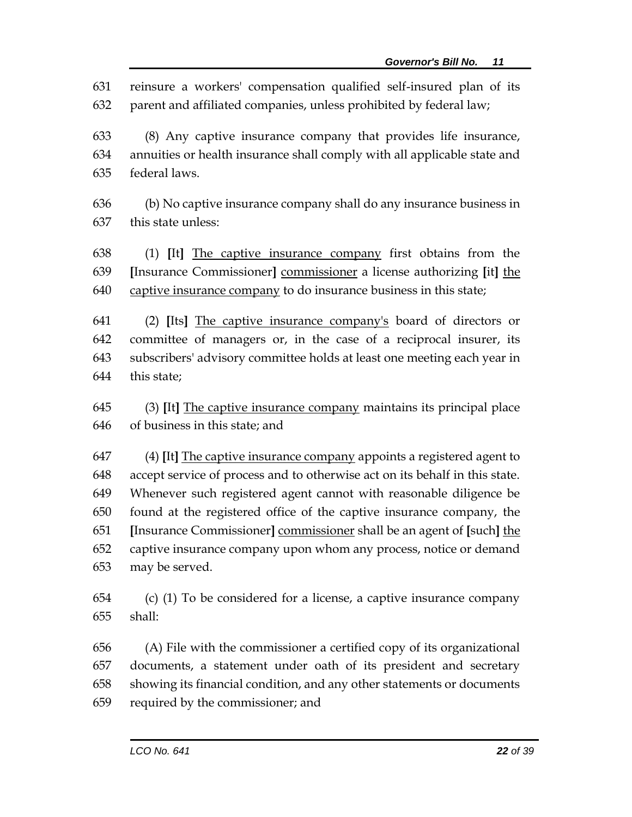reinsure a workers' compensation qualified self-insured plan of its parent and affiliated companies, unless prohibited by federal law;

 (8) Any captive insurance company that provides life insurance, annuities or health insurance shall comply with all applicable state and federal laws.

 (b) No captive insurance company shall do any insurance business in this state unless:

 (1) **[**It**]** The captive insurance company first obtains from the **[**Insurance Commissioner**]** commissioner a license authorizing **[**it**]** the captive insurance company to do insurance business in this state;

 (2) **[**Its**]** The captive insurance company's board of directors or committee of managers or, in the case of a reciprocal insurer, its subscribers' advisory committee holds at least one meeting each year in this state;

 (3) **[**It**]** The captive insurance company maintains its principal place of business in this state; and

 (4) **[**It**]** The captive insurance company appoints a registered agent to accept service of process and to otherwise act on its behalf in this state. Whenever such registered agent cannot with reasonable diligence be found at the registered office of the captive insurance company, the **[**Insurance Commissioner**]** commissioner shall be an agent of **[**such**]** the captive insurance company upon whom any process, notice or demand may be served.

 (c) (1) To be considered for a license, a captive insurance company shall:

 (A) File with the commissioner a certified copy of its organizational documents, a statement under oath of its president and secretary showing its financial condition, and any other statements or documents required by the commissioner; and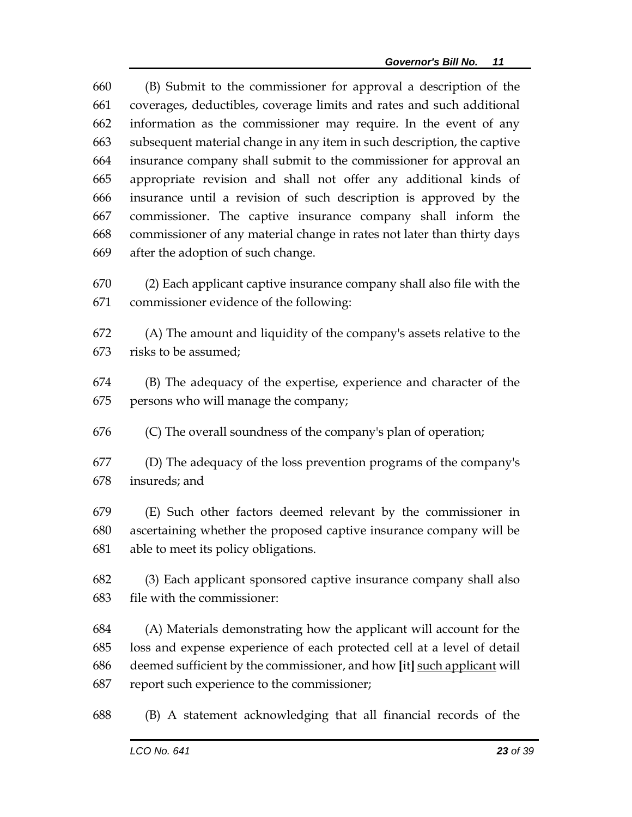(B) Submit to the commissioner for approval a description of the coverages, deductibles, coverage limits and rates and such additional information as the commissioner may require. In the event of any subsequent material change in any item in such description, the captive insurance company shall submit to the commissioner for approval an appropriate revision and shall not offer any additional kinds of insurance until a revision of such description is approved by the commissioner. The captive insurance company shall inform the commissioner of any material change in rates not later than thirty days after the adoption of such change.

 (2) Each applicant captive insurance company shall also file with the commissioner evidence of the following:

 (A) The amount and liquidity of the company's assets relative to the risks to be assumed;

 (B) The adequacy of the expertise, experience and character of the persons who will manage the company;

(C) The overall soundness of the company's plan of operation;

 (D) The adequacy of the loss prevention programs of the company's insureds; and

 (E) Such other factors deemed relevant by the commissioner in ascertaining whether the proposed captive insurance company will be able to meet its policy obligations.

 (3) Each applicant sponsored captive insurance company shall also file with the commissioner:

 (A) Materials demonstrating how the applicant will account for the loss and expense experience of each protected cell at a level of detail deemed sufficient by the commissioner, and how **[**it**]** such applicant will report such experience to the commissioner;

(B) A statement acknowledging that all financial records of the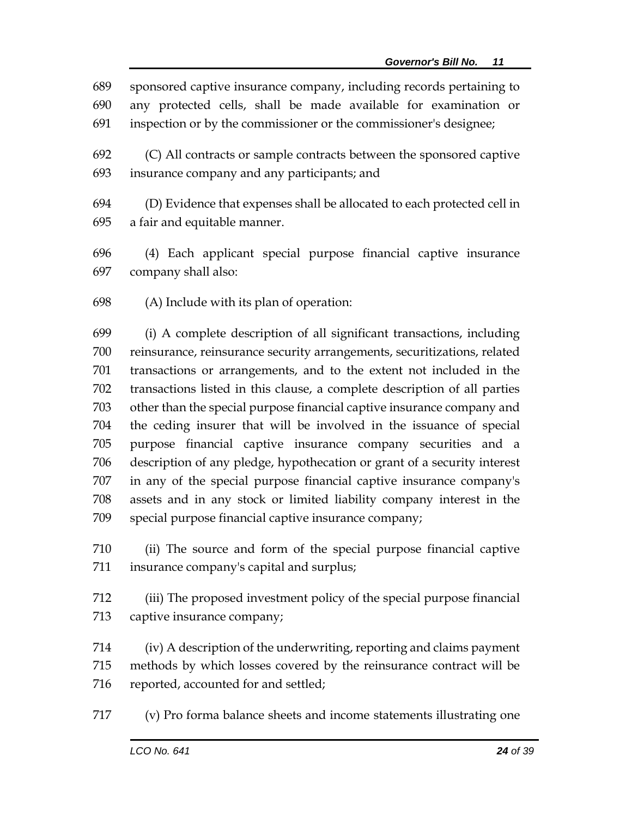sponsored captive insurance company, including records pertaining to any protected cells, shall be made available for examination or inspection or by the commissioner or the commissioner's designee;

 (C) All contracts or sample contracts between the sponsored captive insurance company and any participants; and

 (D) Evidence that expenses shall be allocated to each protected cell in a fair and equitable manner.

 (4) Each applicant special purpose financial captive insurance company shall also:

(A) Include with its plan of operation:

 (i) A complete description of all significant transactions, including reinsurance, reinsurance security arrangements, securitizations, related transactions or arrangements, and to the extent not included in the transactions listed in this clause, a complete description of all parties other than the special purpose financial captive insurance company and the ceding insurer that will be involved in the issuance of special purpose financial captive insurance company securities and a description of any pledge, hypothecation or grant of a security interest in any of the special purpose financial captive insurance company's assets and in any stock or limited liability company interest in the special purpose financial captive insurance company;

 (ii) The source and form of the special purpose financial captive insurance company's capital and surplus;

 (iii) The proposed investment policy of the special purpose financial captive insurance company;

 (iv) A description of the underwriting, reporting and claims payment methods by which losses covered by the reinsurance contract will be 716 reported, accounted for and settled;

(v) Pro forma balance sheets and income statements illustrating one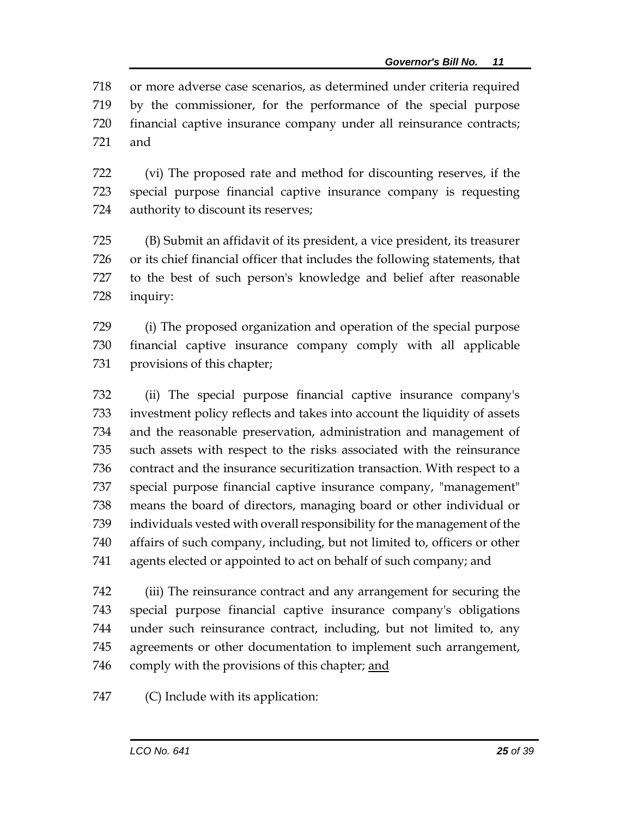or more adverse case scenarios, as determined under criteria required by the commissioner, for the performance of the special purpose financial captive insurance company under all reinsurance contracts; and

 (vi) The proposed rate and method for discounting reserves, if the special purpose financial captive insurance company is requesting authority to discount its reserves;

 (B) Submit an affidavit of its president, a vice president, its treasurer or its chief financial officer that includes the following statements, that to the best of such person's knowledge and belief after reasonable inquiry:

 (i) The proposed organization and operation of the special purpose financial captive insurance company comply with all applicable provisions of this chapter;

 (ii) The special purpose financial captive insurance company's investment policy reflects and takes into account the liquidity of assets and the reasonable preservation, administration and management of such assets with respect to the risks associated with the reinsurance contract and the insurance securitization transaction. With respect to a special purpose financial captive insurance company, "management" means the board of directors, managing board or other individual or individuals vested with overall responsibility for the management of the affairs of such company, including, but not limited to, officers or other agents elected or appointed to act on behalf of such company; and

 (iii) The reinsurance contract and any arrangement for securing the special purpose financial captive insurance company's obligations under such reinsurance contract, including, but not limited to, any agreements or other documentation to implement such arrangement, 746 comply with the provisions of this chapter; and

(C) Include with its application: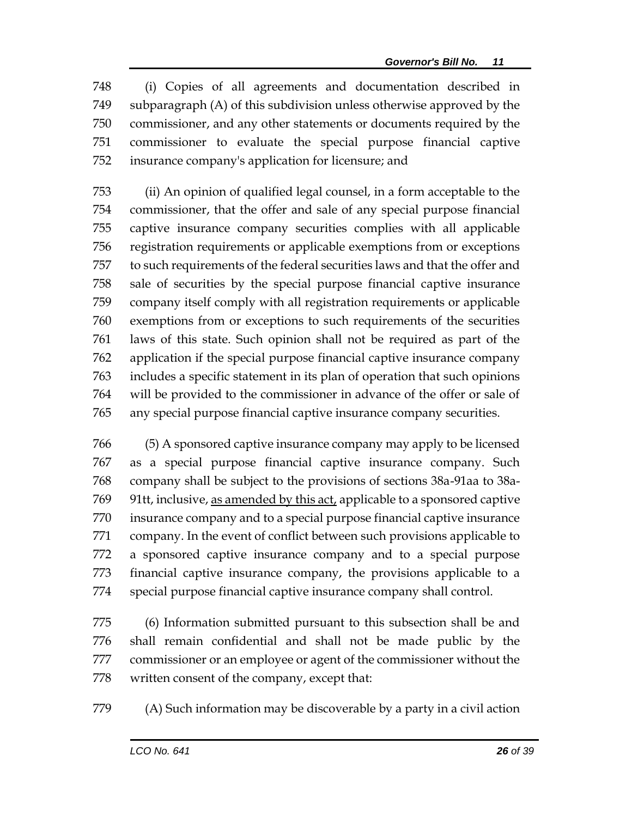(i) Copies of all agreements and documentation described in subparagraph (A) of this subdivision unless otherwise approved by the commissioner, and any other statements or documents required by the commissioner to evaluate the special purpose financial captive insurance company's application for licensure; and

 (ii) An opinion of qualified legal counsel, in a form acceptable to the commissioner, that the offer and sale of any special purpose financial captive insurance company securities complies with all applicable registration requirements or applicable exemptions from or exceptions to such requirements of the federal securities laws and that the offer and sale of securities by the special purpose financial captive insurance company itself comply with all registration requirements or applicable exemptions from or exceptions to such requirements of the securities laws of this state. Such opinion shall not be required as part of the application if the special purpose financial captive insurance company includes a specific statement in its plan of operation that such opinions will be provided to the commissioner in advance of the offer or sale of any special purpose financial captive insurance company securities.

 (5) A sponsored captive insurance company may apply to be licensed as a special purpose financial captive insurance company. Such company shall be subject to the provisions of sections 38a-91aa to 38a- 91tt, inclusive, as amended by this act, applicable to a sponsored captive insurance company and to a special purpose financial captive insurance company. In the event of conflict between such provisions applicable to a sponsored captive insurance company and to a special purpose financial captive insurance company, the provisions applicable to a special purpose financial captive insurance company shall control.

 (6) Information submitted pursuant to this subsection shall be and shall remain confidential and shall not be made public by the commissioner or an employee or agent of the commissioner without the written consent of the company, except that:

(A) Such information may be discoverable by a party in a civil action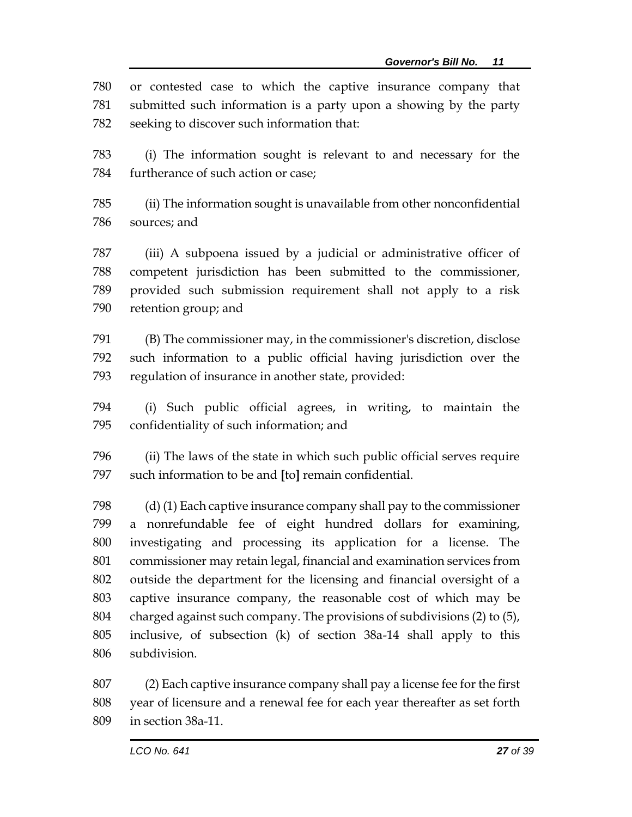or contested case to which the captive insurance company that submitted such information is a party upon a showing by the party seeking to discover such information that:

 (i) The information sought is relevant to and necessary for the furtherance of such action or case;

 (ii) The information sought is unavailable from other nonconfidential sources; and

 (iii) A subpoena issued by a judicial or administrative officer of competent jurisdiction has been submitted to the commissioner, provided such submission requirement shall not apply to a risk retention group; and

 (B) The commissioner may, in the commissioner's discretion, disclose such information to a public official having jurisdiction over the regulation of insurance in another state, provided:

 (i) Such public official agrees, in writing, to maintain the confidentiality of such information; and

 (ii) The laws of the state in which such public official serves require such information to be and **[**to**]** remain confidential.

 (d) (1) Each captive insurance company shall pay to the commissioner a nonrefundable fee of eight hundred dollars for examining, investigating and processing its application for a license. The commissioner may retain legal, financial and examination services from outside the department for the licensing and financial oversight of a captive insurance company, the reasonable cost of which may be charged against such company. The provisions of subdivisions (2) to (5), inclusive, of subsection (k) of section 38a-14 shall apply to this subdivision.

 (2) Each captive insurance company shall pay a license fee for the first year of licensure and a renewal fee for each year thereafter as set forth in section 38a-11.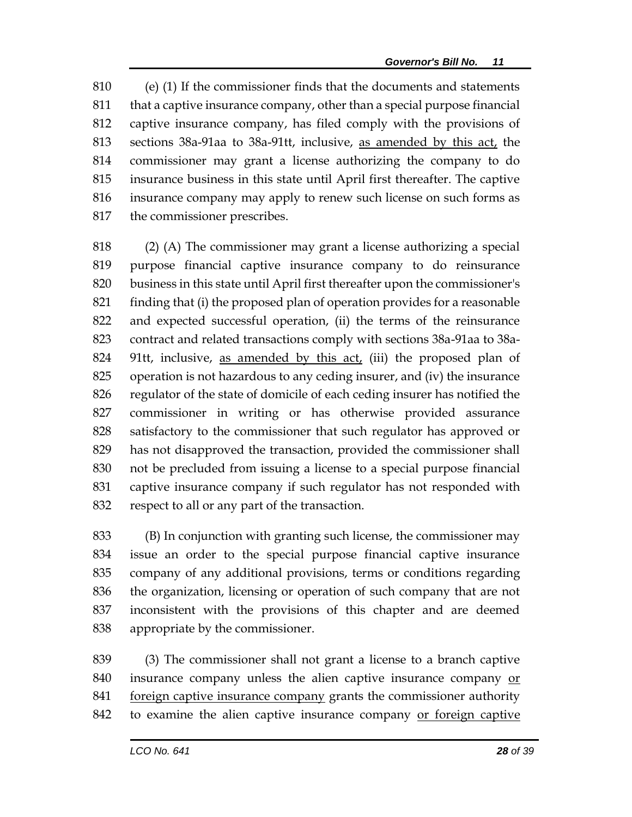(e) (1) If the commissioner finds that the documents and statements that a captive insurance company, other than a special purpose financial captive insurance company, has filed comply with the provisions of sections 38a-91aa to 38a-91tt, inclusive, as amended by this act, the commissioner may grant a license authorizing the company to do insurance business in this state until April first thereafter. The captive insurance company may apply to renew such license on such forms as the commissioner prescribes.

 (2) (A) The commissioner may grant a license authorizing a special purpose financial captive insurance company to do reinsurance business in this state until April first thereafter upon the commissioner's finding that (i) the proposed plan of operation provides for a reasonable and expected successful operation, (ii) the terms of the reinsurance contract and related transactions comply with sections 38a-91aa to 38a-824 91tt, inclusive, as amended by this act, (iii) the proposed plan of operation is not hazardous to any ceding insurer, and (iv) the insurance regulator of the state of domicile of each ceding insurer has notified the commissioner in writing or has otherwise provided assurance satisfactory to the commissioner that such regulator has approved or has not disapproved the transaction, provided the commissioner shall not be precluded from issuing a license to a special purpose financial captive insurance company if such regulator has not responded with respect to all or any part of the transaction.

 (B) In conjunction with granting such license, the commissioner may issue an order to the special purpose financial captive insurance company of any additional provisions, terms or conditions regarding the organization, licensing or operation of such company that are not inconsistent with the provisions of this chapter and are deemed appropriate by the commissioner.

 (3) The commissioner shall not grant a license to a branch captive insurance company unless the alien captive insurance company or 841 foreign captive insurance company grants the commissioner authority to examine the alien captive insurance company or foreign captive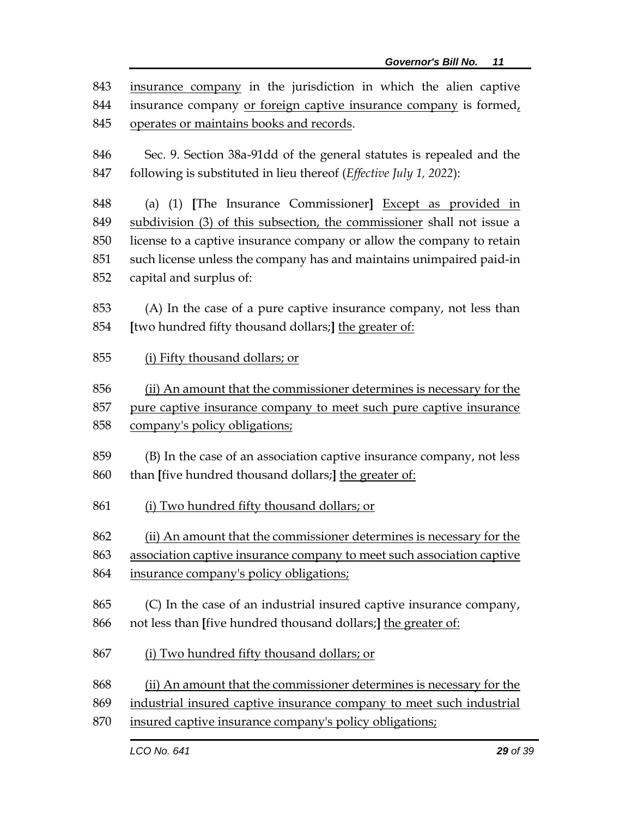| 843 | insurance company in the jurisdiction in which the alien captive       |  |  |  |
|-----|------------------------------------------------------------------------|--|--|--|
| 844 | insurance company or foreign captive insurance company is formed,      |  |  |  |
| 845 | operates or maintains books and records.                               |  |  |  |
|     |                                                                        |  |  |  |
| 846 | Sec. 9. Section 38a-91dd of the general statutes is repealed and the   |  |  |  |
| 847 | following is substituted in lieu thereof (Effective July 1, 2022):     |  |  |  |
| 848 | (a) (1) [The Insurance Commissioner] Except as provided in             |  |  |  |
| 849 | subdivision (3) of this subsection, the commissioner shall not issue a |  |  |  |
| 850 | license to a captive insurance company or allow the company to retain  |  |  |  |
| 851 | such license unless the company has and maintains unimpaired paid-in   |  |  |  |
| 852 | capital and surplus of:                                                |  |  |  |
|     |                                                                        |  |  |  |
| 853 | (A) In the case of a pure captive insurance company, not less than     |  |  |  |
| 854 | [two hundred fifty thousand dollars;] the greater of:                  |  |  |  |
| 855 | (i) Fifty thousand dollars; or                                         |  |  |  |
|     |                                                                        |  |  |  |
| 856 | (ii) An amount that the commissioner determines is necessary for the   |  |  |  |
| 857 | pure captive insurance company to meet such pure captive insurance     |  |  |  |
| 858 | company's policy obligations;                                          |  |  |  |
| 859 |                                                                        |  |  |  |
|     | (B) In the case of an association captive insurance company, not less  |  |  |  |
| 860 | than [five hundred thousand dollars;] the greater of:                  |  |  |  |
| 861 | (i) Two hundred fifty thousand dollars; or                             |  |  |  |
|     |                                                                        |  |  |  |
| 862 | (ii) An amount that the commissioner determines is necessary for the   |  |  |  |
| 863 | association captive insurance company to meet such association captive |  |  |  |
| 864 | insurance company's policy obligations;                                |  |  |  |
| 865 | (C) In the case of an industrial insured captive insurance company,    |  |  |  |
| 866 | not less than [five hundred thousand dollars;] the greater of:         |  |  |  |
|     |                                                                        |  |  |  |
| 867 | (i) Two hundred fifty thousand dollars; or                             |  |  |  |
|     |                                                                        |  |  |  |
| 868 | (ii) An amount that the commissioner determines is necessary for the   |  |  |  |
| 869 | industrial insured captive insurance company to meet such industrial   |  |  |  |
| 870 | insured captive insurance company's policy obligations;                |  |  |  |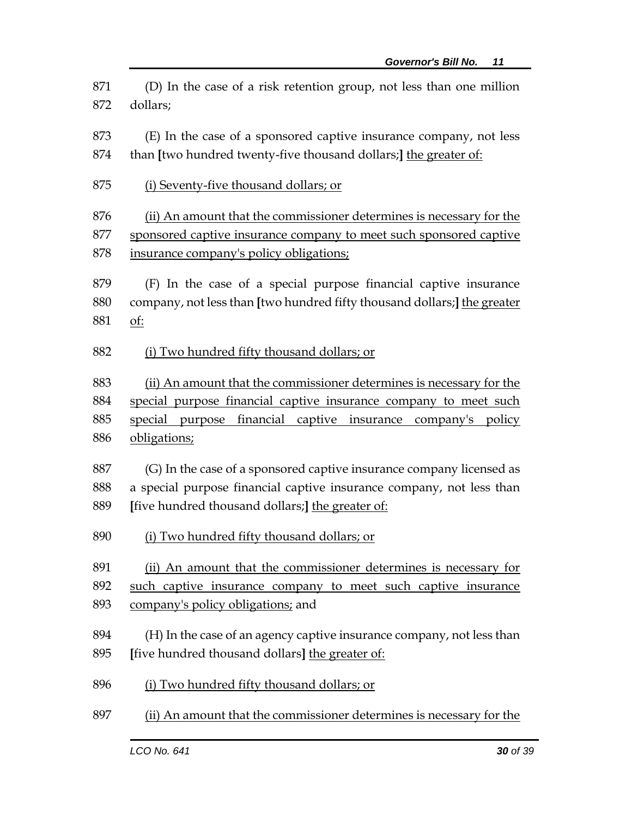(D) In the case of a risk retention group, not less than one million dollars;

 (E) In the case of a sponsored captive insurance company, not less than **[**two hundred twenty-five thousand dollars;**]** the greater of:

(i) Seventy-five thousand dollars; or

 (ii) An amount that the commissioner determines is necessary for the sponsored captive insurance company to meet such sponsored captive insurance company's policy obligations;

 (F) In the case of a special purpose financial captive insurance company, not less than **[**two hundred fifty thousand dollars;**]** the greater of:

(i) Two hundred fifty thousand dollars; or

 (ii) An amount that the commissioner determines is necessary for the special purpose financial captive insurance company to meet such special purpose financial captive insurance company's policy obligations;

 (G) In the case of a sponsored captive insurance company licensed as a special purpose financial captive insurance company, not less than **[**five hundred thousand dollars;**]** the greater of:

890 (i) Two hundred fifty thousand dollars; or

(ii) An amount that the commissioner determines is necessary for

 such captive insurance company to meet such captive insurance company's policy obligations; and

- (H) In the case of an agency captive insurance company, not less than **[**five hundred thousand dollars**]** the greater of:
- (i) Two hundred fifty thousand dollars; or
- (ii) An amount that the commissioner determines is necessary for the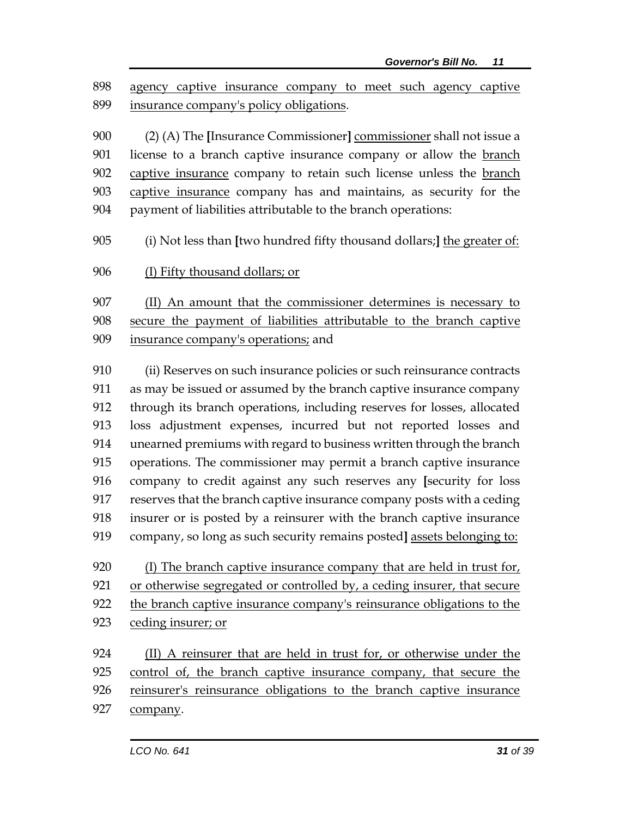agency captive insurance company to meet such agency captive insurance company's policy obligations.

 (2) (A) The **[**Insurance Commissioner**]** commissioner shall not issue a 901 license to a branch captive insurance company or allow the branch captive insurance company to retain such license unless the branch captive insurance company has and maintains, as security for the 904 payment of liabilities attributable to the branch operations:

(i) Not less than **[**two hundred fifty thousand dollars;**]** the greater of:

(I) Fifty thousand dollars; or

 (II) An amount that the commissioner determines is necessary to secure the payment of liabilities attributable to the branch captive insurance company's operations; and

 (ii) Reserves on such insurance policies or such reinsurance contracts as may be issued or assumed by the branch captive insurance company through its branch operations, including reserves for losses, allocated loss adjustment expenses, incurred but not reported losses and unearned premiums with regard to business written through the branch operations. The commissioner may permit a branch captive insurance company to credit against any such reserves any **[**security for loss reserves that the branch captive insurance company posts with a ceding insurer or is posted by a reinsurer with the branch captive insurance company, so long as such security remains posted**]** assets belonging to:

 (I) The branch captive insurance company that are held in trust for, or otherwise segregated or controlled by, a ceding insurer, that secure the branch captive insurance company's reinsurance obligations to the ceding insurer; or

924 (II) A reinsurer that are held in trust for, or otherwise under the control of, the branch captive insurance company, that secure the reinsurer's reinsurance obligations to the branch captive insurance 927 company.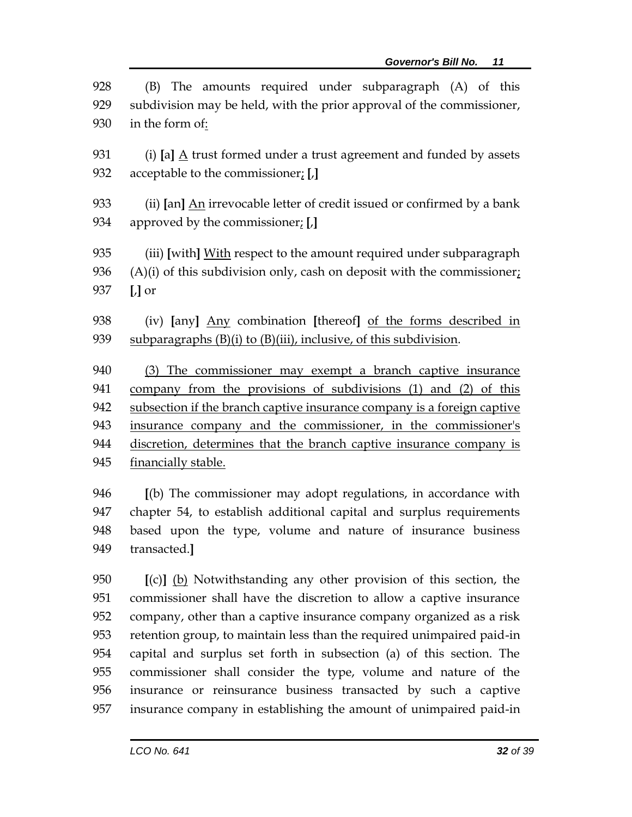| 928 | (B) The amounts required under subparagraph (A) of this                    |  |  |
|-----|----------------------------------------------------------------------------|--|--|
| 929 | subdivision may be held, with the prior approval of the commissioner,      |  |  |
| 930 | in the form of:                                                            |  |  |
| 931 | (i) [a] $\Delta$ trust formed under a trust agreement and funded by assets |  |  |
| 932 | acceptable to the commissioner: $[J]$                                      |  |  |
| 933 | (ii) [an] An irrevocable letter of credit issued or confirmed by a bank    |  |  |
| 934 | approved by the commissioner; [,]                                          |  |  |
| 935 | (iii) [with] With respect to the amount required under subparagraph        |  |  |
| 936 | $(A)(i)$ of this subdivision only, cash on deposit with the commissioner;  |  |  |
| 937 | $\left[\right]$ or                                                         |  |  |
| 938 | (iv) [any] Any combination [thereof] of the forms described in             |  |  |
| 939 | subparagraphs (B)(i) to (B)(iii), inclusive, of this subdivision.          |  |  |
| 940 | (3) The commissioner may exempt a branch captive insurance                 |  |  |
| 941 | company from the provisions of subdivisions (1) and (2) of this            |  |  |
| 942 | subsection if the branch captive insurance company is a foreign captive    |  |  |
| 943 | insurance company and the commissioner, in the commissioner's              |  |  |
| 944 | discretion, determines that the branch captive insurance company is        |  |  |
| 945 | financially stable.                                                        |  |  |
| 946 | $\lceil$ (b) The commissioner may adopt regulations, in accordance with    |  |  |
| 947 | chapter 54, to establish additional capital and surplus requirements       |  |  |
| 948 | based upon the type, volume and nature of insurance business               |  |  |
| 949 | transacted.]                                                               |  |  |
| 950 | [(c)] (b) Notwithstanding any other provision of this section, the         |  |  |
| 951 | commissioner shall have the discretion to allow a captive insurance        |  |  |
| 952 | company, other than a captive insurance company organized as a risk        |  |  |
| 953 | retention group, to maintain less than the required unimpaired paid-in     |  |  |
| 954 | capital and surplus set forth in subsection (a) of this section. The       |  |  |
| 955 | commissioner shall consider the type, volume and nature of the             |  |  |
| 956 | insurance or reinsurance business transacted by such a captive             |  |  |

insurance company in establishing the amount of unimpaired paid-in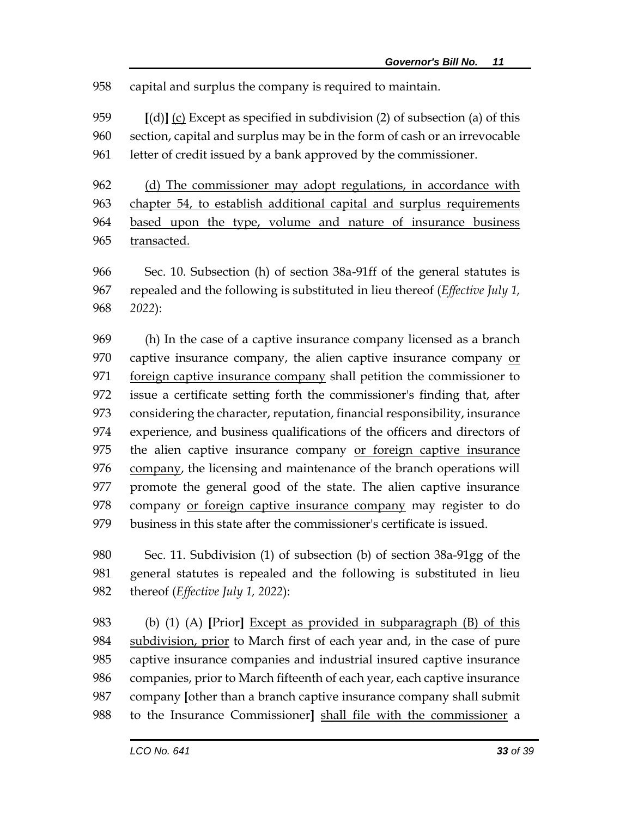capital and surplus the company is required to maintain.

 **[**(d)**]** (c) Except as specified in subdivision (2) of subsection (a) of this section, capital and surplus may be in the form of cash or an irrevocable letter of credit issued by a bank approved by the commissioner.

 (d) The commissioner may adopt regulations, in accordance with chapter 54, to establish additional capital and surplus requirements based upon the type, volume and nature of insurance business 965 transacted.

 Sec. 10. Subsection (h) of section 38a-91ff of the general statutes is repealed and the following is substituted in lieu thereof (*Effective July 1, 2022*):

 (h) In the case of a captive insurance company licensed as a branch captive insurance company, the alien captive insurance company or foreign captive insurance company shall petition the commissioner to issue a certificate setting forth the commissioner's finding that, after considering the character, reputation, financial responsibility, insurance experience, and business qualifications of the officers and directors of the alien captive insurance company or foreign captive insurance company, the licensing and maintenance of the branch operations will promote the general good of the state. The alien captive insurance company or foreign captive insurance company may register to do business in this state after the commissioner's certificate is issued.

 Sec. 11. Subdivision (1) of subsection (b) of section 38a-91gg of the general statutes is repealed and the following is substituted in lieu thereof (*Effective July 1, 2022*):

 (b) (1) (A) **[**Prior**]** Except as provided in subparagraph (B) of this subdivision, prior to March first of each year and, in the case of pure captive insurance companies and industrial insured captive insurance companies, prior to March fifteenth of each year, each captive insurance company **[**other than a branch captive insurance company shall submit to the Insurance Commissioner**]** shall file with the commissioner a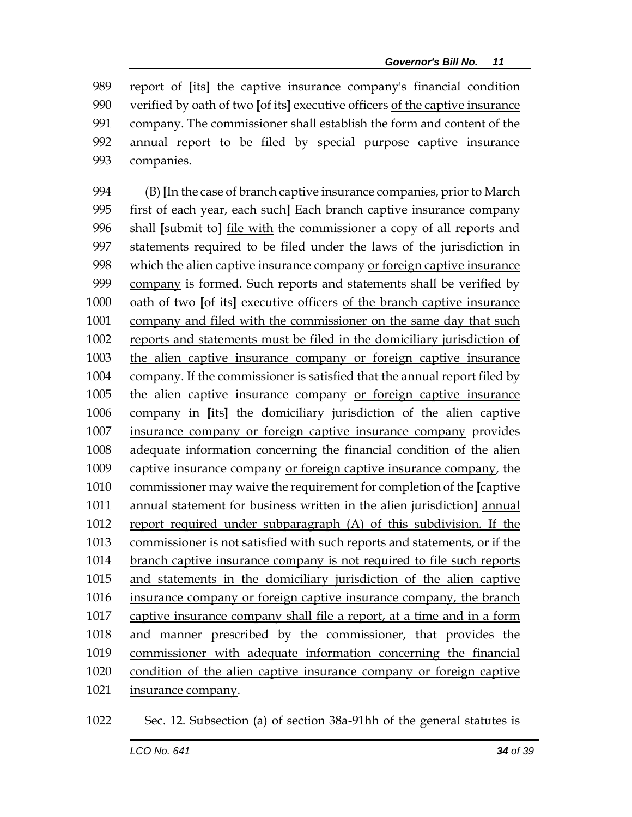report of **[**its**]** the captive insurance company's financial condition verified by oath of two **[**of its**]** executive officers of the captive insurance company. The commissioner shall establish the form and content of the annual report to be filed by special purpose captive insurance companies.

 (B) **[**In the case of branch captive insurance companies, prior to March first of each year, each such**]** Each branch captive insurance company shall **[**submit to**]** file with the commissioner a copy of all reports and statements required to be filed under the laws of the jurisdiction in 998 which the alien captive insurance company or foreign captive insurance company is formed. Such reports and statements shall be verified by oath of two **[**of its**]** executive officers of the branch captive insurance company and filed with the commissioner on the same day that such reports and statements must be filed in the domiciliary jurisdiction of the alien captive insurance company or foreign captive insurance company. If the commissioner is satisfied that the annual report filed by the alien captive insurance company or foreign captive insurance company in **[**its**]** the domiciliary jurisdiction of the alien captive insurance company or foreign captive insurance company provides adequate information concerning the financial condition of the alien captive insurance company or foreign captive insurance company, the commissioner may waive the requirement for completion of the **[**captive annual statement for business written in the alien jurisdiction**]** annual report required under subparagraph (A) of this subdivision. If the commissioner is not satisfied with such reports and statements, or if the branch captive insurance company is not required to file such reports and statements in the domiciliary jurisdiction of the alien captive insurance company or foreign captive insurance company, the branch captive insurance company shall file a report, at a time and in a form and manner prescribed by the commissioner, that provides the commissioner with adequate information concerning the financial condition of the alien captive insurance company or foreign captive insurance company.

Sec. 12. Subsection (a) of section 38a-91hh of the general statutes is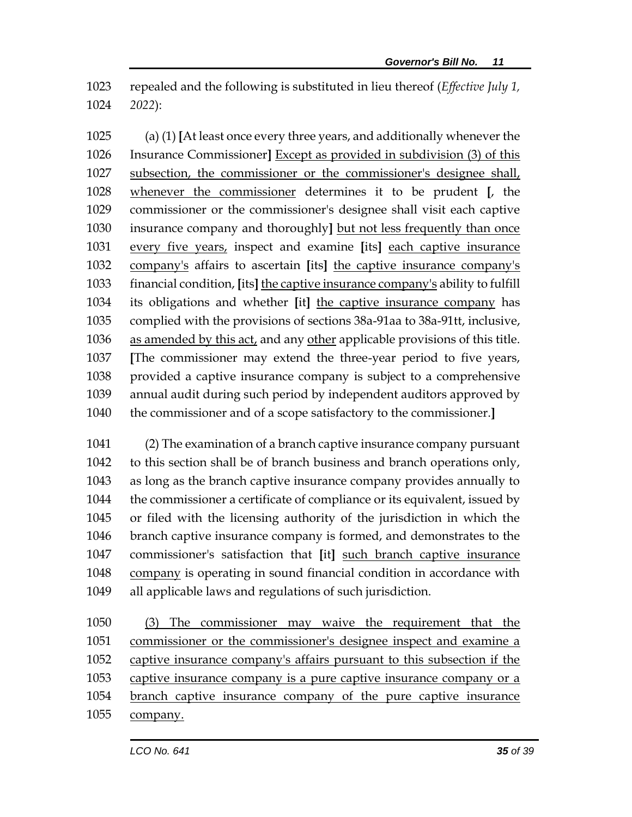repealed and the following is substituted in lieu thereof (*Effective July 1, 2022*):

 (a) (1) **[**At least once every three years, and additionally whenever the Insurance Commissioner**]** Except as provided in subdivision (3) of this subsection, the commissioner or the commissioner's designee shall, whenever the commissioner determines it to be prudent **[**, the commissioner or the commissioner's designee shall visit each captive insurance company and thoroughly**]** but not less frequently than once every five years, inspect and examine **[**its**]** each captive insurance company's affairs to ascertain **[**its**]** the captive insurance company's financial condition, **[**its**]** the captive insurance company's ability to fulfill its obligations and whether **[**it**]** the captive insurance company has complied with the provisions of sections 38a-91aa to 38a-91tt, inclusive, as amended by this act, and any other applicable provisions of this title. **[**The commissioner may extend the three-year period to five years, provided a captive insurance company is subject to a comprehensive annual audit during such period by independent auditors approved by the commissioner and of a scope satisfactory to the commissioner.**]**

 (2) The examination of a branch captive insurance company pursuant to this section shall be of branch business and branch operations only, as long as the branch captive insurance company provides annually to the commissioner a certificate of compliance or its equivalent, issued by or filed with the licensing authority of the jurisdiction in which the branch captive insurance company is formed, and demonstrates to the commissioner's satisfaction that **[**it**]** such branch captive insurance company is operating in sound financial condition in accordance with all applicable laws and regulations of such jurisdiction.

 (3) The commissioner may waive the requirement that the commissioner or the commissioner's designee inspect and examine a captive insurance company's affairs pursuant to this subsection if the 1053 captive insurance company is a pure captive insurance company or a branch captive insurance company of the pure captive insurance company.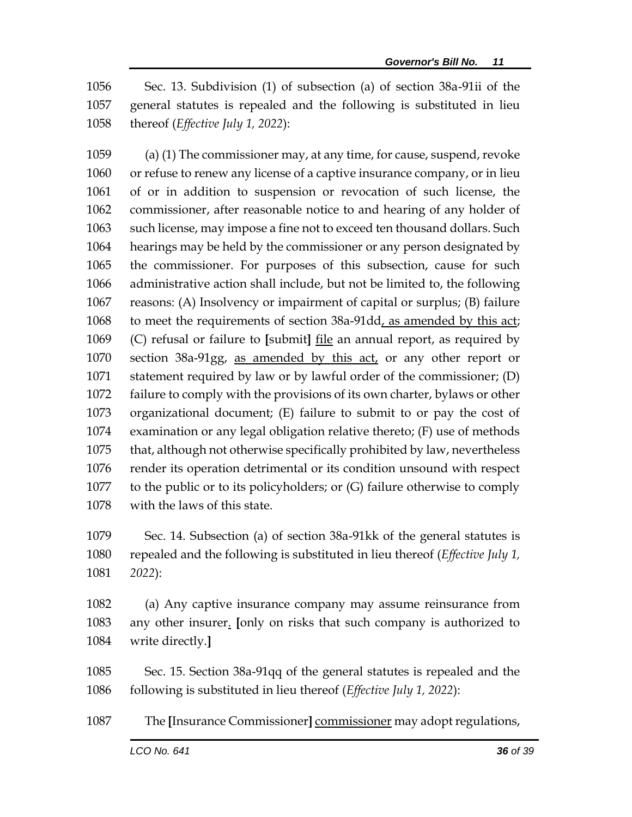Sec. 13. Subdivision (1) of subsection (a) of section 38a-91ii of the general statutes is repealed and the following is substituted in lieu thereof (*Effective July 1, 2022*):

 (a) (1) The commissioner may, at any time, for cause, suspend, revoke or refuse to renew any license of a captive insurance company, or in lieu of or in addition to suspension or revocation of such license, the commissioner, after reasonable notice to and hearing of any holder of such license, may impose a fine not to exceed ten thousand dollars. Such hearings may be held by the commissioner or any person designated by the commissioner. For purposes of this subsection, cause for such administrative action shall include, but not be limited to, the following reasons: (A) Insolvency or impairment of capital or surplus; (B) failure to meet the requirements of section 38a-91dd, as amended by this act; (C) refusal or failure to **[**submit**]** file an annual report, as required by section 38a-91gg, as amended by this act, or any other report or statement required by law or by lawful order of the commissioner; (D) failure to comply with the provisions of its own charter, bylaws or other organizational document; (E) failure to submit to or pay the cost of examination or any legal obligation relative thereto; (F) use of methods that, although not otherwise specifically prohibited by law, nevertheless render its operation detrimental or its condition unsound with respect to the public or to its policyholders; or (G) failure otherwise to comply with the laws of this state.

 Sec. 14. Subsection (a) of section 38a-91kk of the general statutes is repealed and the following is substituted in lieu thereof (*Effective July 1, 2022*):

 (a) Any captive insurance company may assume reinsurance from any other insurer. **[**only on risks that such company is authorized to write directly.**]**

 Sec. 15. Section 38a-91qq of the general statutes is repealed and the following is substituted in lieu thereof (*Effective July 1, 2022*):

The **[**Insurance Commissioner**]** commissioner may adopt regulations,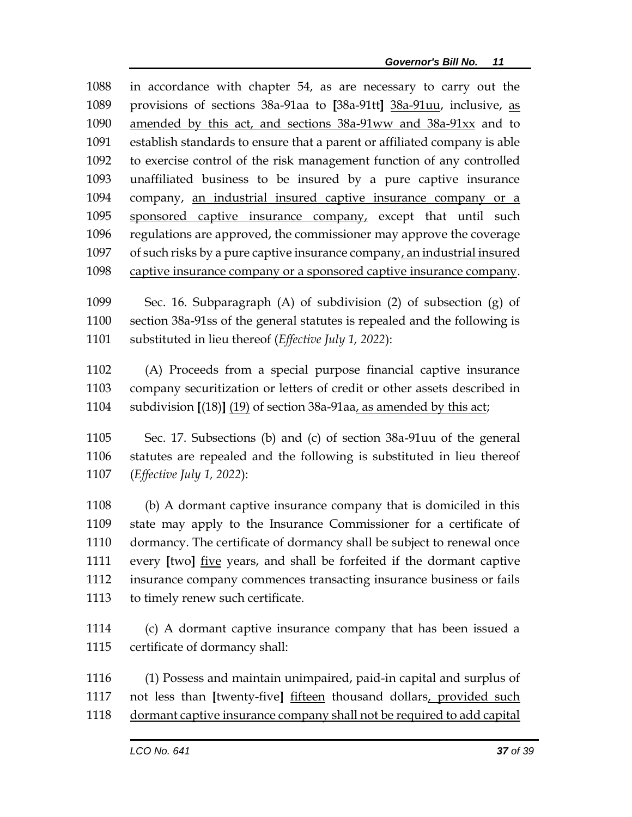in accordance with chapter 54, as are necessary to carry out the provisions of sections 38a-91aa to **[**38a-91tt**]** 38a-91uu, inclusive, as amended by this act, and sections 38a-91ww and 38a-91xx and to establish standards to ensure that a parent or affiliated company is able to exercise control of the risk management function of any controlled unaffiliated business to be insured by a pure captive insurance company, an industrial insured captive insurance company or a sponsored captive insurance company, except that until such regulations are approved, the commissioner may approve the coverage 1097 of such risks by a pure captive insurance company, an industrial insured captive insurance company or a sponsored captive insurance company.

 Sec. 16. Subparagraph (A) of subdivision (2) of subsection (g) of section 38a-91ss of the general statutes is repealed and the following is substituted in lieu thereof (*Effective July 1, 2022*):

 (A) Proceeds from a special purpose financial captive insurance company securitization or letters of credit or other assets described in subdivision **[**(18)**]** (19) of section 38a-91aa, as amended by this act;

 Sec. 17. Subsections (b) and (c) of section 38a-91uu of the general statutes are repealed and the following is substituted in lieu thereof (*Effective July 1, 2022*):

 (b) A dormant captive insurance company that is domiciled in this state may apply to the Insurance Commissioner for a certificate of dormancy. The certificate of dormancy shall be subject to renewal once every **[**two**]** five years, and shall be forfeited if the dormant captive insurance company commences transacting insurance business or fails to timely renew such certificate.

 (c) A dormant captive insurance company that has been issued a certificate of dormancy shall:

 (1) Possess and maintain unimpaired, paid-in capital and surplus of not less than **[**twenty-five**]** fifteen thousand dollars, provided such dormant captive insurance company shall not be required to add capital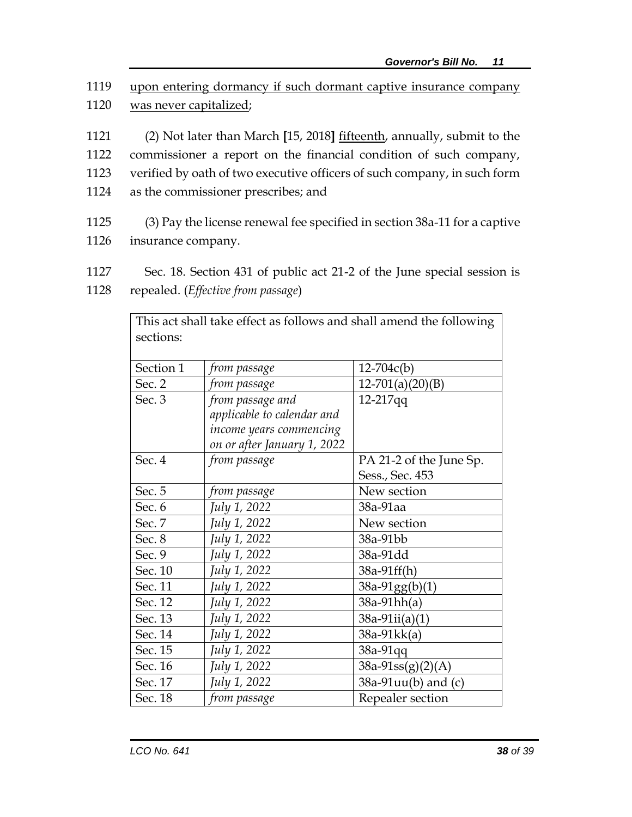- 1119 upon entering dormancy if such dormant captive insurance company 1120 was never capitalized;
- 1121 (2) Not later than March **[**15, 2018**]** fifteenth, annually, submit to the 1122 commissioner a report on the financial condition of such company, 1123 verified by oath of two executive officers of such company, in such form 1124 as the commissioner prescribes; and
- 1125 (3) Pay the license renewal fee specified in section 38a-11 for a captive 1126 insurance company.
- 1127 Sec. 18. Section 431 of public act 21-2 of the June special session is
- 1128 repealed. (*Effective from passage*)

| This act shall take effect as follows and shall amend the following |                             |                         |  |  |  |
|---------------------------------------------------------------------|-----------------------------|-------------------------|--|--|--|
| sections:                                                           |                             |                         |  |  |  |
|                                                                     |                             |                         |  |  |  |
| Section 1                                                           | from passage                | $12 - 704c(b)$          |  |  |  |
| Sec. 2                                                              | from passage                | $12-701(a)(20)(B)$      |  |  |  |
| Sec. 3                                                              | from passage and            | 12-217qq                |  |  |  |
|                                                                     | applicable to calendar and  |                         |  |  |  |
|                                                                     | income years commencing     |                         |  |  |  |
|                                                                     | on or after January 1, 2022 |                         |  |  |  |
| Sec. 4                                                              | from passage                | PA 21-2 of the June Sp. |  |  |  |
|                                                                     |                             | Sess., Sec. 453         |  |  |  |
| Sec. 5                                                              | from passage                | New section             |  |  |  |
| Sec. 6                                                              | July 1, 2022                | 38a-91aa                |  |  |  |
| Sec. 7                                                              | July 1, 2022                | New section             |  |  |  |
| Sec. 8                                                              | July 1, 2022                | 38a-91bb                |  |  |  |
| Sec. 9                                                              | July 1, 2022                | 38a-91dd                |  |  |  |
| Sec. 10                                                             | July 1, 2022                | 38a-91ff(h)             |  |  |  |
| Sec. 11                                                             | July 1, 2022                | $38a-91gg(b)(1)$        |  |  |  |
| Sec. 12                                                             | July 1, 2022                | $38a-91hh(a)$           |  |  |  |
| Sec. 13                                                             | July 1, 2022                | $38a-91ii(a)(1)$        |  |  |  |
| Sec. 14                                                             | July 1, 2022                | $38a-91kk(a)$           |  |  |  |
| Sec. 15                                                             | July 1, 2022                | 38a-91qq                |  |  |  |
| Sec. 16                                                             | July 1, 2022                | $38a-91ss(g)(2)(A)$     |  |  |  |
| Sec. 17                                                             | July 1, 2022                | 38a-91uu(b) and (c)     |  |  |  |
| Sec. 18                                                             | from passage                | Repealer section        |  |  |  |